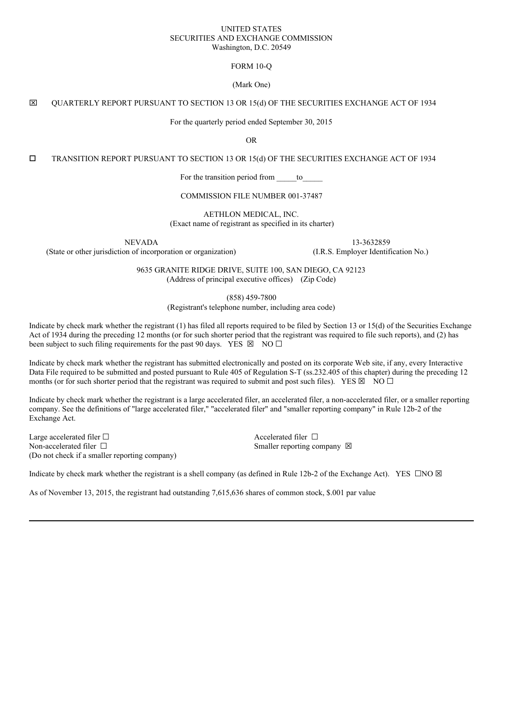#### UNITED STATES SECURITIES AND EXCHANGE COMMISSION Washington, D.C. 20549

FORM 10-Q

(Mark One)

x QUARTERLY REPORT PURSUANT TO SECTION 13 OR 15(d) OF THE SECURITIES EXCHANGE ACT OF 1934

For the quarterly period ended September 30, 2015

OR

o TRANSITION REPORT PURSUANT TO SECTION 13 OR 15(d) OF THE SECURITIES EXCHANGE ACT OF 1934

For the transition period from to

COMMISSION FILE NUMBER 001-37487

AETHLON MEDICAL, INC. (Exact name of registrant as specified in its charter)

NEVADA 13-3632859 (State or other jurisdiction of incorporation or organization) (I.R.S. Employer Identification No.)

> 9635 GRANITE RIDGE DRIVE, SUITE 100, SAN DIEGO, CA 92123 (Address of principal executive offices) (Zip Code)

> > (858) 459-7800

(Registrant's telephone number, including area code)

Indicate by check mark whether the registrant (1) has filed all reports required to be filed by Section 13 or 15(d) of the Securities Exchange Act of 1934 during the preceding 12 months (or for such shorter period that the registrant was required to file such reports), and (2) has been subject to such filing requirements for the past 90 days. YES  $\boxtimes$  NO  $\Box$ 

Indicate by check mark whether the registrant has submitted electronically and posted on its corporate Web site, if any, every Interactive Data File required to be submitted and posted pursuant to Rule 405 of Regulation S-T (ss.232.405 of this chapter) during the preceding 12 months (or for such shorter period that the registrant was required to submit and post such files). YES  $\boxtimes$  NO  $\Box$ 

Indicate by check mark whether the registrant is a large accelerated filer, an accelerated filer, a non-accelerated filer, or a smaller reporting company. See the definitions of "large accelerated filer," "accelerated filer" and "smaller reporting company" in Rule 12b-2 of the Exchange Act.

Large accelerated filer □ accelerated filer □ Non-accelerated filer  $□$ (Do not check if a smaller reporting company)

Smaller reporting company  $\boxtimes$ 

Indicate by check mark whether the registrant is a shell company (as defined in Rule 12b-2 of the Exchange Act). YES  $\Box NO \boxtimes$ 

As of November 13, 2015, the registrant had outstanding 7,615,636 shares of common stock, \$.001 par value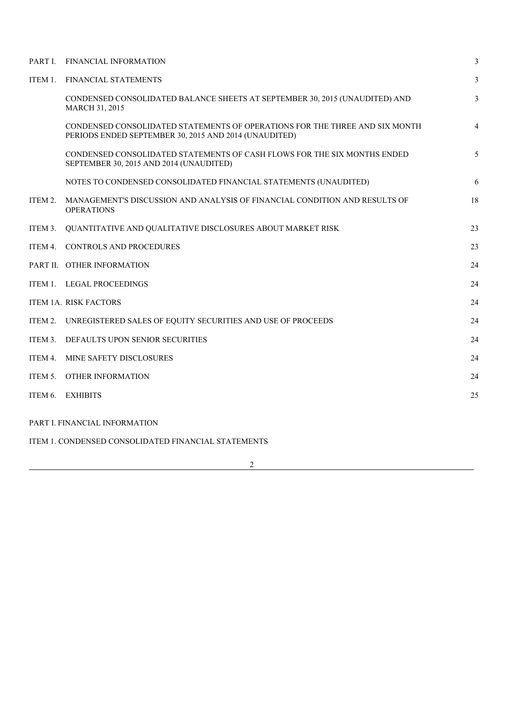# PART I. FINANCIAL INFORMATION 3

| ITEM 1. | FINANCIAL STATEMENTS                                                                                                                 | 3              |
|---------|--------------------------------------------------------------------------------------------------------------------------------------|----------------|
|         | CONDENSED CONSOLIDATED BALANCE SHEETS AT SEPTEMBER 30, 2015 (UNAUDITED) AND<br>MARCH 31, 2015                                        | 3              |
|         | CONDENSED CONSOLIDATED STATEMENTS OF OPERATIONS FOR THE THREE AND SIX MONTH<br>PERIODS ENDED SEPTEMBER 30, 2015 AND 2014 (UNAUDITED) | $\overline{4}$ |
|         | CONDENSED CONSOLIDATED STATEMENTS OF CASH FLOWS FOR THE SIX MONTHS ENDED<br>SEPTEMBER 30, 2015 AND 2014 (UNAUDITED)                  | 5              |
|         | NOTES TO CONDENSED CONSOLIDATED FINANCIAL STATEMENTS (UNAUDITED)                                                                     | 6              |
| ITEM 2. | MANAGEMENT'S DISCUSSION AND ANALYSIS OF FINANCIAL CONDITION AND RESULTS OF<br><b>OPERATIONS</b>                                      | 18             |
| ITEM 3. | QUANTITATIVE AND QUALITATIVE DISCLOSURES ABOUT MARKET RISK                                                                           | 23             |
| ITEM 4. | <b>CONTROLS AND PROCEDURES</b>                                                                                                       | 23             |
|         | PART II. OTHER INFORMATION                                                                                                           | 24             |
|         | ITEM 1. LEGAL PROCEEDINGS                                                                                                            | 24             |
|         | ITEM 1A. RISK FACTORS                                                                                                                | 24             |
|         | ITEM 2. UNREGISTERED SALES OF EQUITY SECURITIES AND USE OF PROCEEDS                                                                  | 24             |
| ITEM 3. | DEFAULTS UPON SENIOR SECURITIES                                                                                                      | 24             |
| ITEM 4. | MINE SAFETY DISCLOSURES                                                                                                              | 24             |
| ITEM 5. | <b>OTHER INFORMATION</b>                                                                                                             | 24             |
| ITEM 6. | <b>EXHIBITS</b>                                                                                                                      | 25             |
|         | PART I. FINANCIAL INFORMATION                                                                                                        |                |

ITEM 1. CONDENSED CONSOLIDATED FINANCIAL STATEMENTS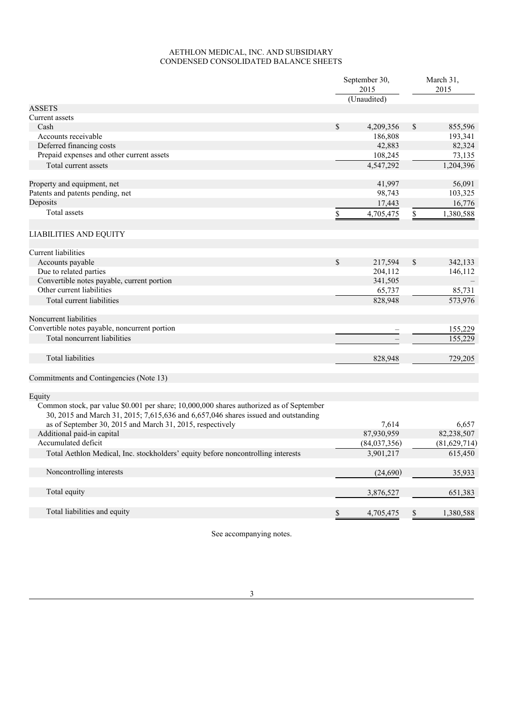### AETHLON MEDICAL, INC. AND SUBSIDIARY CONDENSED CONSOLIDATED BALANCE SHEETS

|                                                                                         | September 30,<br>2015 | March 31,<br>2015 |
|-----------------------------------------------------------------------------------------|-----------------------|-------------------|
| <b>ASSETS</b>                                                                           | (Unaudited)           |                   |
| Current assets                                                                          |                       |                   |
| Cash                                                                                    | \$<br>4,209,356       | \$<br>855,596     |
| Accounts receivable                                                                     | 186,808               | 193,341           |
| Deferred financing costs                                                                | 42,883                | 82,324            |
| Prepaid expenses and other current assets                                               | 108,245               | 73,135            |
| Total current assets                                                                    | 4,547,292             | 1,204,396         |
|                                                                                         |                       |                   |
| Property and equipment, net                                                             | 41,997                | 56,091            |
| Patents and patents pending, net                                                        | 98,743                | 103,325           |
| Deposits                                                                                | 17,443                | 16,776            |
| <b>Total</b> assets                                                                     | \$<br>4,705,475       | \$<br>1,380,588   |
|                                                                                         |                       |                   |
| <b>LIABILITIES AND EQUITY</b>                                                           |                       |                   |
|                                                                                         |                       |                   |
| Current liabilities                                                                     |                       |                   |
| Accounts payable                                                                        | \$<br>217,594         | \$<br>342,133     |
| Due to related parties                                                                  | 204,112               | 146,112           |
| Convertible notes payable, current portion                                              | 341,505               |                   |
| Other current liabilities                                                               | 65,737                | 85,731            |
| Total current liabilities                                                               | 828,948               | 573,976           |
|                                                                                         |                       |                   |
| Noncurrent liabilities                                                                  |                       |                   |
| Convertible notes payable, noncurrent portion                                           |                       | 155,229           |
| Total noncurrent liabilities                                                            |                       | 155,229           |
|                                                                                         |                       |                   |
| <b>Total liabilities</b>                                                                | 828,948               | 729,205           |
| Commitments and Contingencies (Note 13)                                                 |                       |                   |
|                                                                                         |                       |                   |
| Equity                                                                                  |                       |                   |
| Common stock, par value \$0.001 per share; 10,000,000 shares authorized as of September |                       |                   |
| 30, 2015 and March 31, 2015; 7,615,636 and 6,657,046 shares issued and outstanding      |                       |                   |
| as of September 30, 2015 and March 31, 2015, respectively                               | 7.614                 | 6.657             |
| Additional paid-in capital                                                              | 87,930,959            | 82,238,507        |
| Accumulated deficit                                                                     | (84,037,356)          | (81,629,714)      |
| Total Aethlon Medical, Inc. stockholders' equity before noncontrolling interests        | 3,901,217             | 615,450           |
| Noncontrolling interests                                                                | (24,690)              | 35,933            |
| Total equity                                                                            | 3,876,527             | 651,383           |
|                                                                                         |                       |                   |
| Total liabilities and equity                                                            | \$<br>4,705,475       | \$<br>1,380,588   |

See accompanying notes.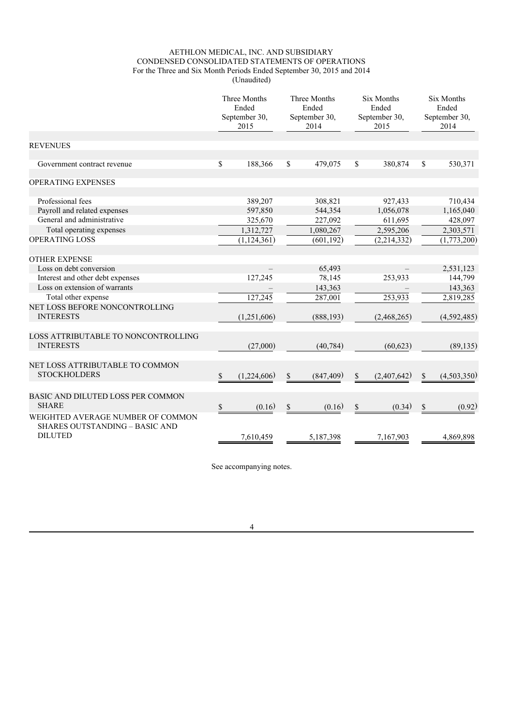### AETHLON MEDICAL, INC. AND SUBSIDIARY CONDENSED CONSOLIDATED STATEMENTS OF OPERATIONS For the Three and Six Month Periods Ended September 30, 2015 and 2014 (Unaudited)

|                                                                                              | Three Months<br>Ended<br>September 30,<br>2015 | Three Months<br>Ended<br>September 30,<br>2014 | <b>Six Months</b><br>Ended<br>September 30,<br>2015 |              | <b>Six Months</b><br>Ended<br>September 30,<br>2014 |
|----------------------------------------------------------------------------------------------|------------------------------------------------|------------------------------------------------|-----------------------------------------------------|--------------|-----------------------------------------------------|
| <b>REVENUES</b>                                                                              |                                                |                                                |                                                     |              |                                                     |
| Government contract revenue                                                                  | \$<br>188,366                                  | \$<br>479,075                                  | \$<br>380,874                                       | \$           | 530,371                                             |
| <b>OPERATING EXPENSES</b>                                                                    |                                                |                                                |                                                     |              |                                                     |
| Professional fees                                                                            | 389,207                                        | 308,821                                        | 927,433                                             |              | 710,434                                             |
| Payroll and related expenses                                                                 | 597,850                                        | 544,354                                        | 1,056,078                                           |              | 1,165,040                                           |
| General and administrative                                                                   | 325,670                                        | 227,092                                        | 611,695                                             |              | 428,097                                             |
| Total operating expenses                                                                     | 1,312,727                                      | 1,080,267                                      | 2,595,206                                           |              | 2,303,571                                           |
| <b>OPERATING LOSS</b>                                                                        | (1, 124, 361)                                  | (601, 192)                                     | (2,214,332)                                         |              | (1,773,200)                                         |
| <b>OTHER EXPENSE</b>                                                                         |                                                |                                                |                                                     |              |                                                     |
| Loss on debt conversion                                                                      |                                                | 65,493                                         |                                                     |              | 2,531,123                                           |
| Interest and other debt expenses                                                             | 127,245                                        | 78,145                                         | 253,933                                             |              | 144,799                                             |
| Loss on extension of warrants                                                                |                                                | 143,363                                        |                                                     |              | 143,363                                             |
| Total other expense                                                                          | 127,245                                        | 287,001                                        | 253,933                                             |              | 2,819,285                                           |
| NET LOSS BEFORE NONCONTROLLING<br><b>INTERESTS</b>                                           | (1,251,606)                                    | (888, 193)                                     | (2,468,265)                                         |              | (4,592,485)                                         |
| LOSS ATTRIBUTABLE TO NONCONTROLLING<br><b>INTERESTS</b>                                      | (27,000)                                       | (40, 784)                                      | (60, 623)                                           |              | (89, 135)                                           |
| NET LOSS ATTRIBUTABLE TO COMMON<br><b>STOCKHOLDERS</b>                                       | \$<br>(1,224,606)                              | \$<br>(847, 409)                               | \$<br>(2,407,642)                                   | \$           | (4,503,350)                                         |
| <b>BASIC AND DILUTED LOSS PER COMMON</b><br><b>SHARE</b>                                     | \$<br>(0.16)                                   | \$<br>(0.16)                                   | \$<br>(0.34)                                        | $\mathbb{S}$ | (0.92)                                              |
| WEIGHTED AVERAGE NUMBER OF COMMON<br><b>SHARES OUTSTANDING - BASIC AND</b><br><b>DILUTED</b> | 7,610,459                                      | 5,187,398                                      | 7,167,903                                           |              | 4,869,898                                           |

See accompanying notes.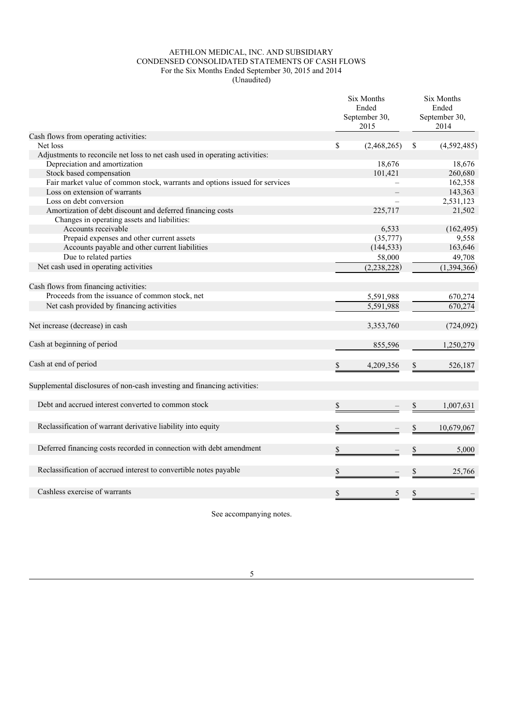#### AETHLON MEDICAL, INC. AND SUBSIDIARY CONDENSED CONSOLIDATED STATEMENTS OF CASH FLOWS For the Six Months Ended September 30, 2015 and 2014 (Unaudited)

|                                                                             | Six Months<br>Ended<br>September 30,<br>2015 | Six Months<br>Ended<br>September 30,<br>2014 |             |  |
|-----------------------------------------------------------------------------|----------------------------------------------|----------------------------------------------|-------------|--|
| Cash flows from operating activities:                                       |                                              |                                              |             |  |
| Net loss                                                                    | \$<br>(2,468,265)                            | \$                                           | (4,592,485) |  |
| Adjustments to reconcile net loss to net cash used in operating activities: |                                              |                                              |             |  |
| Depreciation and amortization                                               | 18,676                                       |                                              | 18,676      |  |
| Stock based compensation                                                    | 101,421                                      |                                              | 260,680     |  |
| Fair market value of common stock, warrants and options issued for services |                                              |                                              | 162,358     |  |
| Loss on extension of warrants                                               |                                              |                                              | 143,363     |  |
| Loss on debt conversion                                                     |                                              |                                              | 2,531,123   |  |
| Amortization of debt discount and deferred financing costs                  | 225,717                                      |                                              | 21,502      |  |
| Changes in operating assets and liabilities:                                |                                              |                                              |             |  |
| Accounts receivable                                                         | 6,533                                        |                                              | (162, 495)  |  |
| Prepaid expenses and other current assets                                   | (35,777)                                     |                                              | 9,558       |  |
| Accounts payable and other current liabilities                              | (144, 533)                                   |                                              | 163,646     |  |
| Due to related parties                                                      | 58,000                                       |                                              | 49,708      |  |
| Net cash used in operating activities                                       | (2, 238, 228)                                |                                              | (1,394,366) |  |
| Cash flows from financing activities:                                       |                                              |                                              |             |  |
| Proceeds from the issuance of common stock, net                             | 5,591,988                                    |                                              | 670,274     |  |
| Net cash provided by financing activities                                   | 5,591,988                                    |                                              | 670,274     |  |
| Net increase (decrease) in cash                                             | 3,353,760                                    |                                              | (724,092)   |  |
| Cash at beginning of period                                                 | 855,596                                      |                                              | 1,250,279   |  |
| Cash at end of period                                                       | \$<br>4,209,356                              | \$                                           | 526,187     |  |
| Supplemental disclosures of non-cash investing and financing activities:    |                                              |                                              |             |  |
| Debt and accrued interest converted to common stock                         | \$                                           | \$                                           | 1,007,631   |  |
| Reclassification of warrant derivative liability into equity                | \$                                           | \$                                           | 10,679,067  |  |
| Deferred financing costs recorded in connection with debt amendment         | \$                                           | \$                                           | 5,000       |  |
| Reclassification of accrued interest to convertible notes payable           | \$                                           | \$                                           | 25,766      |  |
| Cashless exercise of warrants                                               | \$<br>5                                      | \$                                           |             |  |

See accompanying notes.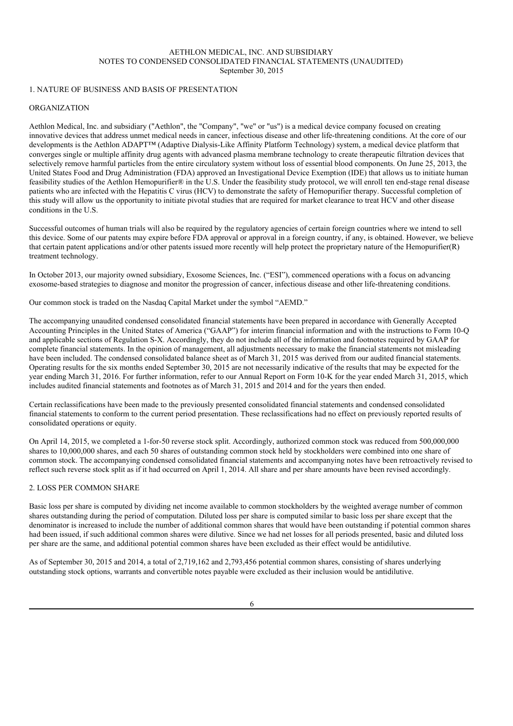## AETHLON MEDICAL, INC. AND SUBSIDIARY NOTES TO CONDENSED CONSOLIDATED FINANCIAL STATEMENTS (UNAUDITED) September 30, 2015

# 1. NATURE OF BUSINESS AND BASIS OF PRESENTATION

# ORGANIZATION

Aethlon Medical, Inc. and subsidiary ("Aethlon", the "Company", "we" or "us") is a medical device company focused on creating innovative devices that address unmet medical needs in cancer, infectious disease and other life-threatening conditions. At the core of our developments is the Aethlon ADAPT™ (Adaptive Dialysis-Like Affinity Platform Technology) system, a medical device platform that converges single or multiple affinity drug agents with advanced plasma membrane technology to create therapeutic filtration devices that selectively remove harmful particles from the entire circulatory system without loss of essential blood components. On June 25, 2013, the United States Food and Drug Administration (FDA) approved an Investigational Device Exemption (IDE) that allows us to initiate human feasibility studies of the Aethlon Hemopurifier® in the U.S. Under the feasibility study protocol, we will enroll ten end-stage renal disease patients who are infected with the Hepatitis C virus (HCV) to demonstrate the safety of Hemopurifier therapy. Successful completion of this study will allow us the opportunity to initiate pivotal studies that are required for market clearance to treat HCV and other disease conditions in the U.S.

Successful outcomes of human trials will also be required by the regulatory agencies of certain foreign countries where we intend to sell this device. Some of our patents may expire before FDA approval or approval in a foreign country, if any, is obtained. However, we believe that certain patent applications and/or other patents issued more recently will help protect the proprietary nature of the Hemopurifier(R) treatment technology.

In October 2013, our majority owned subsidiary, Exosome Sciences, Inc. ("ESI"), commenced operations with a focus on advancing exosome-based strategies to diagnose and monitor the progression of cancer, infectious disease and other life-threatening conditions.

Our common stock is traded on the Nasdaq Capital Market under the symbol "AEMD."

The accompanying unaudited condensed consolidated financial statements have been prepared in accordance with Generally Accepted Accounting Principles in the United States of America ("GAAP") for interim financial information and with the instructions to Form 10-Q and applicable sections of Regulation S-X. Accordingly, they do not include all of the information and footnotes required by GAAP for complete financial statements. In the opinion of management, all adjustments necessary to make the financial statements not misleading have been included. The condensed consolidated balance sheet as of March 31, 2015 was derived from our audited financial statements. Operating results for the six months ended September 30, 2015 are not necessarily indicative of the results that may be expected for the year ending March 31, 2016. For further information, refer to our Annual Report on Form 10-K for the year ended March 31, 2015, which includes audited financial statements and footnotes as of March 31, 2015 and 2014 and for the years then ended.

Certain reclassifications have been made to the previously presented consolidated financial statements and condensed consolidated financial statements to conform to the current period presentation. These reclassifications had no effect on previously reported results of consolidated operations or equity.

On April 14, 2015, we completed a 1-for-50 reverse stock split. Accordingly, authorized common stock was reduced from 500,000,000 shares to 10,000,000 shares, and each 50 shares of outstanding common stock held by stockholders were combined into one share of common stock. The accompanying condensed consolidated financial statements and accompanying notes have been retroactively revised to reflect such reverse stock split as if it had occurred on April 1, 2014. All share and per share amounts have been revised accordingly.

## 2. LOSS PER COMMON SHARE

Basic loss per share is computed by dividing net income available to common stockholders by the weighted average number of common shares outstanding during the period of computation. Diluted loss per share is computed similar to basic loss per share except that the denominator is increased to include the number of additional common shares that would have been outstanding if potential common shares had been issued, if such additional common shares were dilutive. Since we had net losses for all periods presented, basic and diluted loss per share are the same, and additional potential common shares have been excluded as their effect would be antidilutive.

As of September 30, 2015 and 2014, a total of 2,719,162 and 2,793,456 potential common shares, consisting of shares underlying outstanding stock options, warrants and convertible notes payable were excluded as their inclusion would be antidilutive.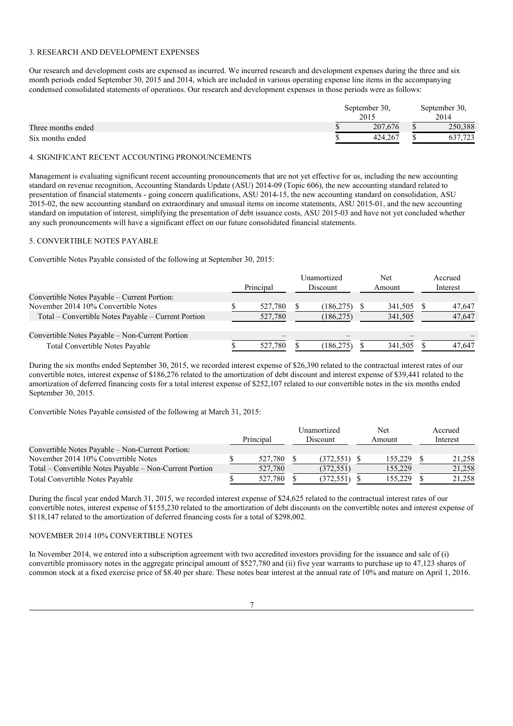### 3. RESEARCH AND DEVELOPMENT EXPENSES

Our research and development costs are expensed as incurred. We incurred research and development expenses during the three and six month periods ended September 30, 2015 and 2014, which are included in various operating expense line items in the accompanying condensed consolidated statements of operations. Our research and development expenses in those periods were as follows:

|                    | September 30,<br>2015 | September 30,<br>2014 |         |  |
|--------------------|-----------------------|-----------------------|---------|--|
| Three months ended | 207,676               |                       | 250.388 |  |
| Six months ended   | 424,267               |                       |         |  |

# 4. SIGNIFICANT RECENT ACCOUNTING PRONOUNCEMENTS

Management is evaluating significant recent accounting pronouncements that are not yet effective for us, including the new accounting standard on revenue recognition, Accounting Standards Update (ASU) 2014-09 (Topic 606), the new accounting standard related to presentation of financial statements - going concern qualifications, ASU 2014-15, the new accounting standard on consolidation, ASU 2015-02, the new accounting standard on extraordinary and unusual items on income statements, ASU 2015-01, and the new accounting standard on imputation of interest, simplifying the presentation of debt issuance costs, ASU 2015-03 and have not yet concluded whether any such pronouncements will have a significant effect on our future consolidated financial statements.

# 5. CONVERTIBLE NOTES PAYABLE

Convertible Notes Payable consisted of the following at September 30, 2015:

|                                                     | Principal | Unamortized<br><b>Discount</b> | <b>Net</b><br>Amount | Accrued<br>Interest |
|-----------------------------------------------------|-----------|--------------------------------|----------------------|---------------------|
| Convertible Notes Payable – Current Portion:        |           |                                |                      |                     |
| November 2014 10% Convertible Notes                 | 527,780   | (186, 275)                     | 341,505              | 47,647              |
| Total – Convertible Notes Payable – Current Portion | 527,780   | (186, 275)                     | 341,505              | 47,647              |
| Convertible Notes Payable – Non-Current Portion     |           |                                |                      |                     |
| <b>Total Convertible Notes Payable</b>              | 527,780   | (186, 275)                     | 341.505              | 47.647              |

During the six months ended September 30, 2015, we recorded interest expense of \$26,390 related to the contractual interest rates of our convertible notes, interest expense of \$186,276 related to the amortization of debt discount and interest expense of \$39,441 related to the amortization of deferred financing costs for a total interest expense of \$252,107 related to our convertible notes in the six months ended September 30, 2015.

Convertible Notes Payable consisted of the following at March 31, 2015:

|                                                         | Principal | Unamortized<br><b>Discount</b> | Net<br>Amount | Accrued<br>Interest |
|---------------------------------------------------------|-----------|--------------------------------|---------------|---------------------|
| Convertible Notes Payable – Non-Current Portion:        |           |                                |               |                     |
| November 2014 10% Convertible Notes                     | 527,780   | (372.551)                      | 155,229       | 21.258              |
| Total – Convertible Notes Payable – Non-Current Portion | 527,780   | (372.551)                      | 155,229       | 21.258              |
| <b>Total Convertible Notes Payable</b>                  | 527.780   | (372,551)                      | 155,229       | 21,258              |

During the fiscal year ended March 31, 2015, we recorded interest expense of \$24,625 related to the contractual interest rates of our convertible notes, interest expense of \$155,230 related to the amortization of debt discounts on the convertible notes and interest expense of \$118,147 related to the amortization of deferred financing costs for a total of \$298,002.

# NOVEMBER 2014 10% CONVERTIBLE NOTES

In November 2014, we entered into a subscription agreement with two accredited investors providing for the issuance and sale of (i) convertible promissory notes in the aggregate principal amount of \$527,780 and (ii) five year warrants to purchase up to 47,123 shares of common stock at a fixed exercise price of \$8.40 per share. These notes bear interest at the annual rate of 10% and mature on April 1, 2016.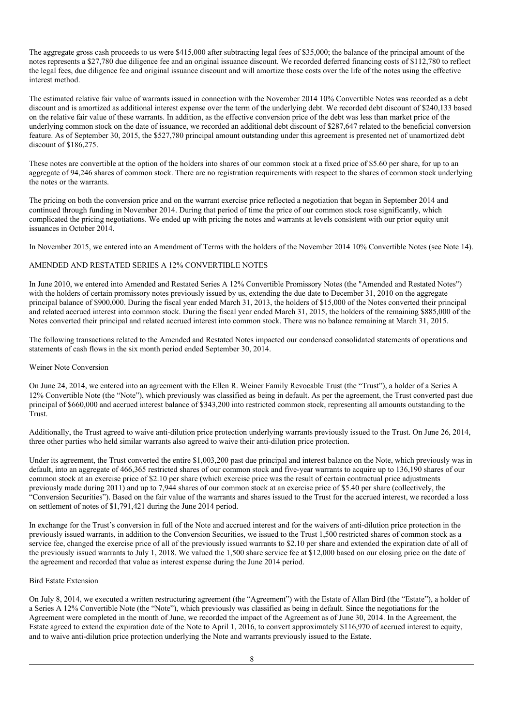The aggregate gross cash proceeds to us were \$415,000 after subtracting legal fees of \$35,000; the balance of the principal amount of the notes represents a \$27,780 due diligence fee and an original issuance discount. We recorded deferred financing costs of \$112,780 to reflect the legal fees, due diligence fee and original issuance discount and will amortize those costs over the life of the notes using the effective interest method.

The estimated relative fair value of warrants issued in connection with the November 2014 10% Convertible Notes was recorded as a debt discount and is amortized as additional interest expense over the term of the underlying debt. We recorded debt discount of \$240,133 based on the relative fair value of these warrants. In addition, as the effective conversion price of the debt was less than market price of the underlying common stock on the date of issuance, we recorded an additional debt discount of \$287,647 related to the beneficial conversion feature. As of September 30, 2015, the \$527,780 principal amount outstanding under this agreement is presented net of unamortized debt discount of \$186,275.

These notes are convertible at the option of the holders into shares of our common stock at a fixed price of \$5.60 per share, for up to an aggregate of 94,246 shares of common stock. There are no registration requirements with respect to the shares of common stock underlying the notes or the warrants.

The pricing on both the conversion price and on the warrant exercise price reflected a negotiation that began in September 2014 and continued through funding in November 2014. During that period of time the price of our common stock rose significantly, which complicated the pricing negotiations. We ended up with pricing the notes and warrants at levels consistent with our prior equity unit issuances in October 2014.

In November 2015, we entered into an Amendment of Terms with the holders of the November 2014 10% Convertible Notes (see Note 14).

# AMENDED AND RESTATED SERIES A 12% CONVERTIBLE NOTES

In June 2010, we entered into Amended and Restated Series A 12% Convertible Promissory Notes (the "Amended and Restated Notes") with the holders of certain promissory notes previously issued by us, extending the due date to December 31, 2010 on the aggregate principal balance of \$900,000. During the fiscal year ended March 31, 2013, the holders of \$15,000 of the Notes converted their principal and related accrued interest into common stock. During the fiscal year ended March 31, 2015, the holders of the remaining \$885,000 of the Notes converted their principal and related accrued interest into common stock. There was no balance remaining at March 31, 2015.

The following transactions related to the Amended and Restated Notes impacted our condensed consolidated statements of operations and statements of cash flows in the six month period ended September 30, 2014.

### Weiner Note Conversion

On June 24, 2014, we entered into an agreement with the Ellen R. Weiner Family Revocable Trust (the "Trust"), a holder of a Series A 12% Convertible Note (the "Note"), which previously was classified as being in default. As per the agreement, the Trust converted past due principal of \$660,000 and accrued interest balance of \$343,200 into restricted common stock, representing all amounts outstanding to the Trust.

Additionally, the Trust agreed to waive anti-dilution price protection underlying warrants previously issued to the Trust. On June 26, 2014, three other parties who held similar warrants also agreed to waive their anti-dilution price protection.

Under its agreement, the Trust converted the entire \$1,003,200 past due principal and interest balance on the Note, which previously was in default, into an aggregate of 466,365 restricted shares of our common stock and five-year warrants to acquire up to 136,190 shares of our common stock at an exercise price of \$2.10 per share (which exercise price was the result of certain contractual price adjustments previously made during 2011) and up to 7,944 shares of our common stock at an exercise price of \$5.40 per share (collectively, the "Conversion Securities"). Based on the fair value of the warrants and shares issued to the Trust for the accrued interest, we recorded a loss on settlement of notes of \$1,791,421 during the June 2014 period.

In exchange for the Trust's conversion in full of the Note and accrued interest and for the waivers of anti-dilution price protection in the previously issued warrants, in addition to the Conversion Securities, we issued to the Trust 1,500 restricted shares of common stock as a service fee, changed the exercise price of all of the previously issued warrants to \$2.10 per share and extended the expiration date of all of the previously issued warrants to July 1, 2018. We valued the 1,500 share service fee at \$12,000 based on our closing price on the date of the agreement and recorded that value as interest expense during the June 2014 period.

#### Bird Estate Extension

On July 8, 2014, we executed a written restructuring agreement (the "Agreement") with the Estate of Allan Bird (the "Estate"), a holder of a Series A 12% Convertible Note (the "Note"), which previously was classified as being in default. Since the negotiations for the Agreement were completed in the month of June, we recorded the impact of the Agreement as of June 30, 2014. In the Agreement, the Estate agreed to extend the expiration date of the Note to April 1, 2016, to convert approximately \$116,970 of accrued interest to equity, and to waive anti-dilution price protection underlying the Note and warrants previously issued to the Estate.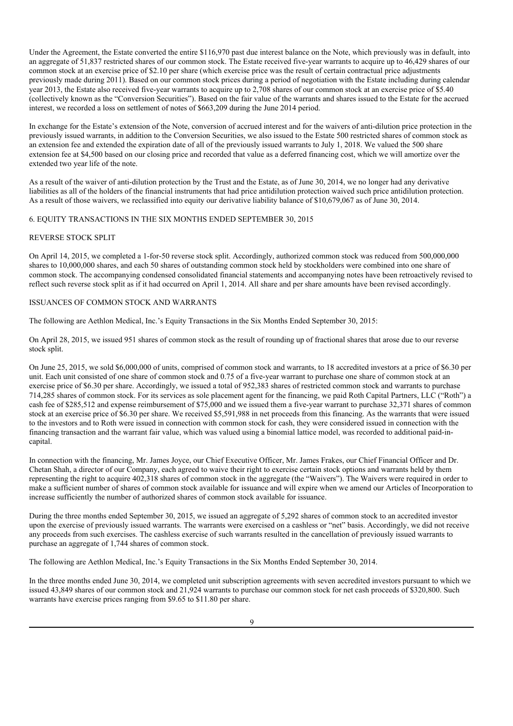Under the Agreement, the Estate converted the entire \$116,970 past due interest balance on the Note, which previously was in default, into an aggregate of 51,837 restricted shares of our common stock. The Estate received five-year warrants to acquire up to 46,429 shares of our common stock at an exercise price of \$2.10 per share (which exercise price was the result of certain contractual price adjustments previously made during 2011). Based on our common stock prices during a period of negotiation with the Estate including during calendar year 2013, the Estate also received five-year warrants to acquire up to 2,708 shares of our common stock at an exercise price of \$5.40 (collectively known as the "Conversion Securities"). Based on the fair value of the warrants and shares issued to the Estate for the accrued interest, we recorded a loss on settlement of notes of \$663,209 during the June 2014 period.

In exchange for the Estate's extension of the Note, conversion of accrued interest and for the waivers of anti-dilution price protection in the previously issued warrants, in addition to the Conversion Securities, we also issued to the Estate 500 restricted shares of common stock as an extension fee and extended the expiration date of all of the previously issued warrants to July 1, 2018. We valued the 500 share extension fee at \$4,500 based on our closing price and recorded that value as a deferred financing cost, which we will amortize over the extended two year life of the note.

As a result of the waiver of anti-dilution protection by the Trust and the Estate, as of June 30, 2014, we no longer had any derivative liabilities as all of the holders of the financial instruments that had price antidilution protection waived such price antidilution protection. As a result of those waivers, we reclassified into equity our derivative liability balance of \$10,679,067 as of June 30, 2014.

# 6. EQUITY TRANSACTIONS IN THE SIX MONTHS ENDED SEPTEMBER 30, 2015

### REVERSE STOCK SPLIT

On April 14, 2015, we completed a 1-for-50 reverse stock split. Accordingly, authorized common stock was reduced from 500,000,000 shares to 10,000,000 shares, and each 50 shares of outstanding common stock held by stockholders were combined into one share of common stock. The accompanying condensed consolidated financial statements and accompanying notes have been retroactively revised to reflect such reverse stock split as if it had occurred on April 1, 2014. All share and per share amounts have been revised accordingly.

### ISSUANCES OF COMMON STOCK AND WARRANTS

The following are Aethlon Medical, Inc.'s Equity Transactions in the Six Months Ended September 30, 2015:

On April 28, 2015, we issued 951 shares of common stock as the result of rounding up of fractional shares that arose due to our reverse stock split.

On June 25, 2015, we sold \$6,000,000 of units, comprised of common stock and warrants, to 18 accredited investors at a price of \$6.30 per unit. Each unit consisted of one share of common stock and 0.75 of a five-year warrant to purchase one share of common stock at an exercise price of \$6.30 per share. Accordingly, we issued a total of 952,383 shares of restricted common stock and warrants to purchase 714,285 shares of common stock. For its services as sole placement agent for the financing, we paid Roth Capital Partners, LLC ("Roth") a cash fee of \$285,512 and expense reimbursement of \$75,000 and we issued them a five-year warrant to purchase 32,371 shares of common stock at an exercise price of \$6.30 per share. We received \$5,591,988 in net proceeds from this financing. As the warrants that were issued to the investors and to Roth were issued in connection with common stock for cash, they were considered issued in connection with the financing transaction and the warrant fair value, which was valued using a binomial lattice model, was recorded to additional paid-incapital.

In connection with the financing, Mr. James Joyce, our Chief Executive Officer, Mr. James Frakes, our Chief Financial Officer and Dr. Chetan Shah, a director of our Company, each agreed to waive their right to exercise certain stock options and warrants held by them representing the right to acquire 402,318 shares of common stock in the aggregate (the "Waivers"). The Waivers were required in order to make a sufficient number of shares of common stock available for issuance and will expire when we amend our Articles of Incorporation to increase sufficiently the number of authorized shares of common stock available for issuance.

During the three months ended September 30, 2015, we issued an aggregate of 5,292 shares of common stock to an accredited investor upon the exercise of previously issued warrants. The warrants were exercised on a cashless or "net" basis. Accordingly, we did not receive any proceeds from such exercises. The cashless exercise of such warrants resulted in the cancellation of previously issued warrants to purchase an aggregate of 1,744 shares of common stock.

The following are Aethlon Medical, Inc.'s Equity Transactions in the Six Months Ended September 30, 2014.

In the three months ended June 30, 2014, we completed unit subscription agreements with seven accredited investors pursuant to which we issued 43,849 shares of our common stock and 21,924 warrants to purchase our common stock for net cash proceeds of \$320,800. Such warrants have exercise prices ranging from \$9.65 to \$11.80 per share.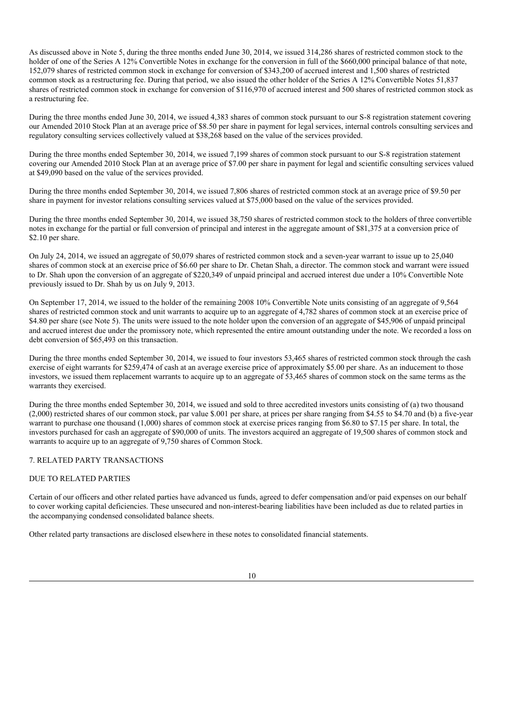As discussed above in Note 5, during the three months ended June 30, 2014, we issued 314,286 shares of restricted common stock to the holder of one of the Series A 12% Convertible Notes in exchange for the conversion in full of the \$660,000 principal balance of that note, 152,079 shares of restricted common stock in exchange for conversion of \$343,200 of accrued interest and 1,500 shares of restricted common stock as a restructuring fee. During that period, we also issued the other holder of the Series A 12% Convertible Notes 51,837 shares of restricted common stock in exchange for conversion of \$116,970 of accrued interest and 500 shares of restricted common stock as a restructuring fee.

During the three months ended June 30, 2014, we issued 4,383 shares of common stock pursuant to our S-8 registration statement covering our Amended 2010 Stock Plan at an average price of \$8.50 per share in payment for legal services, internal controls consulting services and regulatory consulting services collectively valued at \$38,268 based on the value of the services provided.

During the three months ended September 30, 2014, we issued 7,199 shares of common stock pursuant to our S-8 registration statement covering our Amended 2010 Stock Plan at an average price of \$7.00 per share in payment for legal and scientific consulting services valued at \$49,090 based on the value of the services provided.

During the three months ended September 30, 2014, we issued 7,806 shares of restricted common stock at an average price of \$9.50 per share in payment for investor relations consulting services valued at \$75,000 based on the value of the services provided.

During the three months ended September 30, 2014, we issued 38,750 shares of restricted common stock to the holders of three convertible notes in exchange for the partial or full conversion of principal and interest in the aggregate amount of \$81,375 at a conversion price of \$2.10 per share.

On July 24, 2014, we issued an aggregate of 50,079 shares of restricted common stock and a seven-year warrant to issue up to 25,040 shares of common stock at an exercise price of \$6.60 per share to Dr. Chetan Shah, a director. The common stock and warrant were issued to Dr. Shah upon the conversion of an aggregate of \$220,349 of unpaid principal and accrued interest due under a 10% Convertible Note previously issued to Dr. Shah by us on July 9, 2013.

On September 17, 2014, we issued to the holder of the remaining 2008 10% Convertible Note units consisting of an aggregate of 9,564 shares of restricted common stock and unit warrants to acquire up to an aggregate of 4,782 shares of common stock at an exercise price of \$4.80 per share (see Note 5). The units were issued to the note holder upon the conversion of an aggregate of \$45,906 of unpaid principal and accrued interest due under the promissory note, which represented the entire amount outstanding under the note. We recorded a loss on debt conversion of \$65,493 on this transaction.

During the three months ended September 30, 2014, we issued to four investors 53,465 shares of restricted common stock through the cash exercise of eight warrants for \$259,474 of cash at an average exercise price of approximately \$5.00 per share. As an inducement to those investors, we issued them replacement warrants to acquire up to an aggregate of 53,465 shares of common stock on the same terms as the warrants they exercised.

During the three months ended September 30, 2014, we issued and sold to three accredited investors units consisting of (a) two thousand (2,000) restricted shares of our common stock, par value \$.001 per share, at prices per share ranging from \$4.55 to \$4.70 and (b) a five-year warrant to purchase one thousand (1,000) shares of common stock at exercise prices ranging from \$6.80 to \$7.15 per share. In total, the investors purchased for cash an aggregate of \$90,000 of units. The investors acquired an aggregate of 19,500 shares of common stock and warrants to acquire up to an aggregate of 9,750 shares of Common Stock.

# 7. RELATED PARTY TRANSACTIONS

### DUE TO RELATED PARTIES

Certain of our officers and other related parties have advanced us funds, agreed to defer compensation and/or paid expenses on our behalf to cover working capital deficiencies. These unsecured and non-interest-bearing liabilities have been included as due to related parties in the accompanying condensed consolidated balance sheets.

Other related party transactions are disclosed elsewhere in these notes to consolidated financial statements.

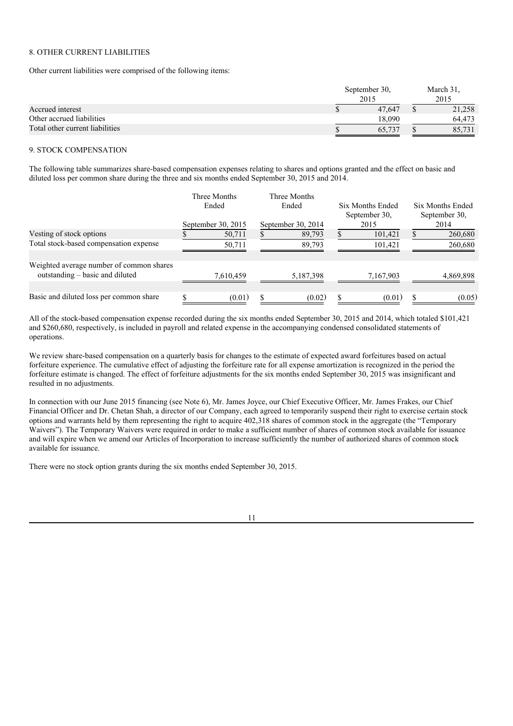# 8. OTHER CURRENT LIABILITIES

Other current liabilities were comprised of the following items:

|                                 | September 30.<br>2015 | March 31.<br>2015 |  |  |
|---------------------------------|-----------------------|-------------------|--|--|
| Accrued interest                | 47.647                | 21,258            |  |  |
| Other accrued liabilities       | 18.090                | 64.473            |  |  |
| Total other current liabilities | 65,737                | 85,731            |  |  |

# 9. STOCK COMPENSATION

The following table summarizes share-based compensation expenses relating to shares and options granted and the effect on basic and diluted loss per common share during the three and six months ended September 30, 2015 and 2014.

|                                                                             | Three Months<br>Ended | Three Months<br>Ended | Six Months Ended<br>September 30, | Six Months Ended<br>September 30, |
|-----------------------------------------------------------------------------|-----------------------|-----------------------|-----------------------------------|-----------------------------------|
|                                                                             | September 30, 2015    | September 30, 2014    | 2015                              | 2014                              |
| Vesting of stock options                                                    | 50,711                | 89,793                | 101,421                           | 260,680                           |
| Total stock-based compensation expense                                      | 50,711                | 89,793                | 101,421                           | 260,680                           |
| Weighted average number of common shares<br>outstanding – basic and diluted | 7,610,459             | 5,187,398             | 7,167,903                         | 4,869,898                         |
| Basic and diluted loss per common share                                     | (0.01)                | (0.02)                | (0.01)                            | (0.05)                            |

All of the stock-based compensation expense recorded during the six months ended September 30, 2015 and 2014, which totaled \$101,421 and \$260,680, respectively, is included in payroll and related expense in the accompanying condensed consolidated statements of operations.

We review share-based compensation on a quarterly basis for changes to the estimate of expected award forfeitures based on actual forfeiture experience. The cumulative effect of adjusting the forfeiture rate for all expense amortization is recognized in the period the forfeiture estimate is changed. The effect of forfeiture adjustments for the six months ended September 30, 2015 was insignificant and resulted in no adjustments.

In connection with our June 2015 financing (see Note 6), Mr. James Joyce, our Chief Executive Officer, Mr. James Frakes, our Chief Financial Officer and Dr. Chetan Shah, a director of our Company, each agreed to temporarily suspend their right to exercise certain stock options and warrants held by them representing the right to acquire 402,318 shares of common stock in the aggregate (the "Temporary Waivers"). The Temporary Waivers were required in order to make a sufficient number of shares of common stock available for issuance and will expire when we amend our Articles of Incorporation to increase sufficiently the number of authorized shares of common stock available for issuance.

There were no stock option grants during the six months ended September 30, 2015.

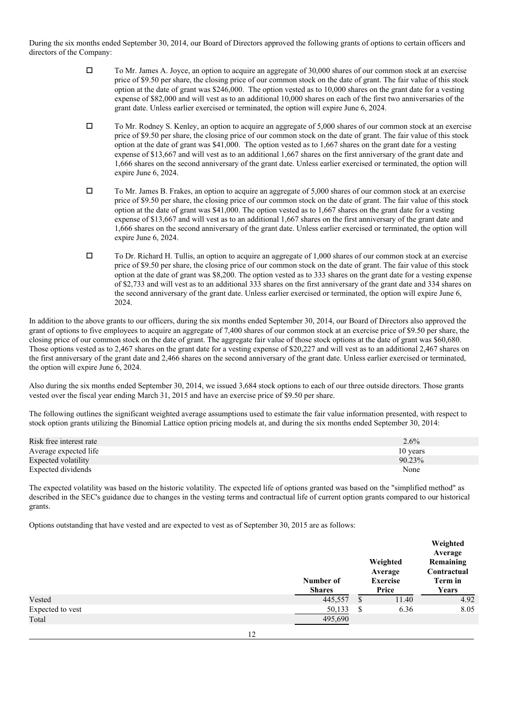During the six months ended September 30, 2014, our Board of Directors approved the following grants of options to certain officers and directors of the Company:

- $\square$  To Mr. James A. Joyce, an option to acquire an aggregate of 30,000 shares of our common stock at an exercise price of \$9.50 per share, the closing price of our common stock on the date of grant. The fair value of this stock option at the date of grant was \$246,000. The option vested as to 10,000 shares on the grant date for a vesting expense of \$82,000 and will vest as to an additional 10,000 shares on each of the first two anniversaries of the grant date. Unless earlier exercised or terminated, the option will expire June 6, 2024.
- o To Mr. Rodney S. Kenley, an option to acquire an aggregate of 5,000 shares of our common stock at an exercise price of \$9.50 per share, the closing price of our common stock on the date of grant. The fair value of this stock option at the date of grant was \$41,000. The option vested as to 1,667 shares on the grant date for a vesting expense of \$13,667 and will vest as to an additional 1,667 shares on the first anniversary of the grant date and 1,666 shares on the second anniversary of the grant date. Unless earlier exercised or terminated, the option will expire June 6, 2024.
- $\Box$  To Mr. James B. Frakes, an option to acquire an aggregate of 5,000 shares of our common stock at an exercise price of \$9.50 per share, the closing price of our common stock on the date of grant. The fair value of this stock option at the date of grant was \$41,000. The option vested as to 1,667 shares on the grant date for a vesting expense of \$13,667 and will vest as to an additional 1,667 shares on the first anniversary of the grant date and 1,666 shares on the second anniversary of the grant date. Unless earlier exercised or terminated, the option will expire June 6, 2024.
- $\Box$  To Dr. Richard H. Tullis, an option to acquire an aggregate of 1,000 shares of our common stock at an exercise price of \$9.50 per share, the closing price of our common stock on the date of grant. The fair value of this stock option at the date of grant was \$8,200. The option vested as to 333 shares on the grant date for a vesting expense of \$2,733 and will vest as to an additional 333 shares on the first anniversary of the grant date and 334 shares on the second anniversary of the grant date. Unless earlier exercised or terminated, the option will expire June 6, 2024.

In addition to the above grants to our officers, during the six months ended September 30, 2014, our Board of Directors also approved the grant of options to five employees to acquire an aggregate of 7,400 shares of our common stock at an exercise price of \$9.50 per share, the closing price of our common stock on the date of grant. The aggregate fair value of those stock options at the date of grant was \$60,680. Those options vested as to 2,467 shares on the grant date for a vesting expense of \$20,227 and will vest as to an additional 2,467 shares on the first anniversary of the grant date and 2,466 shares on the second anniversary of the grant date. Unless earlier exercised or terminated, the option will expire June 6, 2024.

Also during the six months ended September 30, 2014, we issued 3,684 stock options to each of our three outside directors. Those grants vested over the fiscal year ending March 31, 2015 and have an exercise price of \$9.50 per share.

The following outlines the significant weighted average assumptions used to estimate the fair value information presented, with respect to stock option grants utilizing the Binomial Lattice option pricing models at, and during the six months ended September 30, 2014:

| Risk free interest rate | $2.6\%$   |
|-------------------------|-----------|
| Average expected life   | 10 years  |
| Expected volatility     | $90.23\%$ |
| Expected dividends      | None      |

The expected volatility was based on the historic volatility. The expected life of options granted was based on the "simplified method" as described in the SEC's guidance due to changes in the vesting terms and contractual life of current option grants compared to our historical grants.

Options outstanding that have vested and are expected to vest as of September 30, 2015 are as follows:

| Weighted<br>Average<br><b>Exercise</b><br>Number of<br>Price<br><b>Shares</b> | Weighted<br>Average<br>Remaining<br>Contractual<br>Term in<br>Years |  |
|-------------------------------------------------------------------------------|---------------------------------------------------------------------|--|
| 445,557<br>Vested<br>11.40<br>S.                                              | 4.92                                                                |  |
| 50,133<br>6.36<br>Expected to vest<br>\$                                      | 8.05                                                                |  |
| 495,690<br>Total                                                              |                                                                     |  |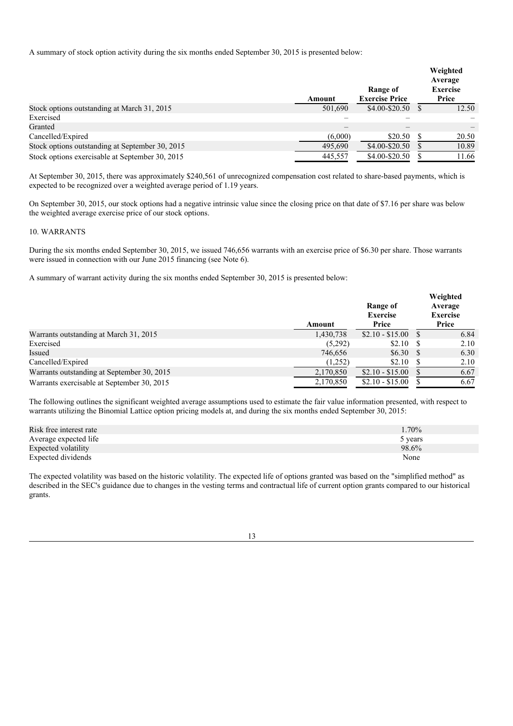A summary of stock option activity during the six months ended September 30, 2015 is presented below:

|                                                 |         |                                   | Weighted<br>Average      |
|-------------------------------------------------|---------|-----------------------------------|--------------------------|
|                                                 | Amount  | Range of<br><b>Exercise Price</b> | <b>Exercise</b><br>Price |
| Stock options outstanding at March 31, 2015     | 501,690 | \$4.00-\$20.50                    | 12.50                    |
| Exercised                                       |         |                                   |                          |
| Granted                                         | -       | $\qquad \qquad -$                 |                          |
| Cancelled/Expired                               | (6,000) | \$20.50                           | 20.50                    |
| Stock options outstanding at September 30, 2015 | 495,690 | \$4.00-\$20.50                    | 10.89                    |
| Stock options exercisable at September 30, 2015 | 445,557 | \$4.00-\$20.50                    | 11.66                    |

At September 30, 2015, there was approximately \$240,561 of unrecognized compensation cost related to share-based payments, which is expected to be recognized over a weighted average period of 1.19 years.

On September 30, 2015, our stock options had a negative intrinsic value since the closing price on that date of \$7.16 per share was below the weighted average exercise price of our stock options.

#### 10. WARRANTS

During the six months ended September 30, 2015, we issued 746,656 warrants with an exercise price of \$6.30 per share. Those warrants were issued in connection with our June 2015 financing (see Note 6).

A summary of warrant activity during the six months ended September 30, 2015 is presented below:

|                                            | Amount    | Range of<br><b>Exercise</b><br>Price | Weighted<br>Average<br><b>Exercise</b><br>Price |
|--------------------------------------------|-----------|--------------------------------------|-------------------------------------------------|
| Warrants outstanding at March 31, 2015     | 1,430,738 | $$2.10 - $15.00$                     | 6.84                                            |
| Exercised                                  | (5,292)   | \$2.10S                              | 2.10                                            |
| Issued                                     | 746,656   | \$6.30S                              | 6.30                                            |
| Cancelled/Expired                          | (1,252)   | \$2.10                               | 2.10                                            |
| Warrants outstanding at September 30, 2015 | 2,170,850 | $$2.10 - $15.00$                     | 6.67                                            |
| Warrants exercisable at September 30, 2015 | 2,170,850 | $$2.10 - $15.00$                     | 6.67                                            |
|                                            |           |                                      |                                                 |

The following outlines the significant weighted average assumptions used to estimate the fair value information presented, with respect to warrants utilizing the Binomial Lattice option pricing models at, and during the six months ended September 30, 2015:

| Risk free interest rate | 1.70%   |
|-------------------------|---------|
| Average expected life   | 5 years |
| Expected volatility     | 98.6%   |
| Expected dividends      | None    |

The expected volatility was based on the historic volatility. The expected life of options granted was based on the "simplified method" as described in the SEC's guidance due to changes in the vesting terms and contractual life of current option grants compared to our historical grants.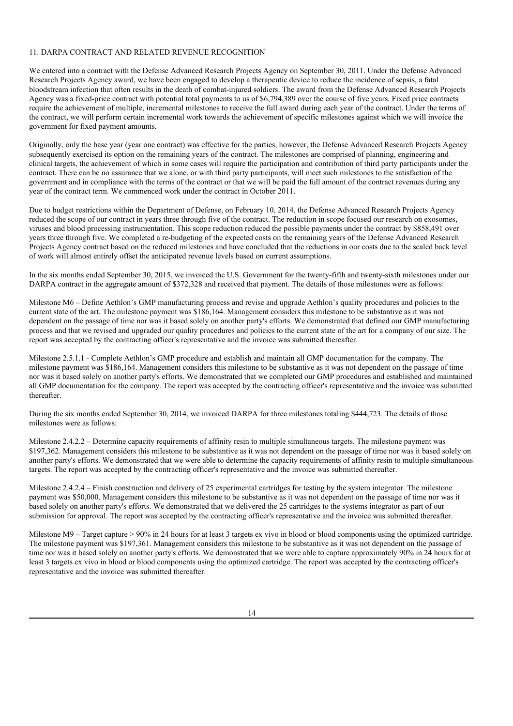# 11. DARPA CONTRACT AND RELATED REVENUE RECOGNITION

We entered into a contract with the Defense Advanced Research Projects Agency on September 30, 2011. Under the Defense Advanced Research Projects Agency award, we have been engaged to develop a therapeutic device to reduce the incidence of sepsis, a fatal bloodstream infection that often results in the death of combat-injured soldiers. The award from the Defense Advanced Research Projects Agency was a fixed-price contract with potential total payments to us of \$6,794,389 over the course of five years. Fixed price contracts require the achievement of multiple, incremental milestones to receive the full award during each year of the contract. Under the terms of the contract, we will perform certain incremental work towards the achievement of specific milestones against which we will invoice the government for fixed payment amounts.

Originally, only the base year (year one contract) was effective for the parties, however, the Defense Advanced Research Projects Agency subsequently exercised its option on the remaining years of the contract. The milestones are comprised of planning, engineering and clinical targets, the achievement of which in some cases will require the participation and contribution of third party participants under the contract. There can be no assurance that we alone, or with third party participants, will meet such milestones to the satisfaction of the government and in compliance with the terms of the contract or that we will be paid the full amount of the contract revenues during any year of the contract term. We commenced work under the contract in October 2011.

Due to budget restrictions within the Department of Defense, on February 10, 2014, the Defense Advanced Research Projects Agency reduced the scope of our contract in years three through five of the contract. The reduction in scope focused our research on exosomes, viruses and blood processing instrumentation. This scope reduction reduced the possible payments under the contract by \$858,491 over years three through five. We completed a re-budgeting of the expected costs on the remaining years of the Defense Advanced Research Projects Agency contract based on the reduced milestones and have concluded that the reductions in our costs due to the scaled back level of work will almost entirely offset the anticipated revenue levels based on current assumptions.

In the six months ended September 30, 2015, we invoiced the U.S. Government for the twenty-fifth and twenty-sixth milestones under our DARPA contract in the aggregate amount of \$372,328 and received that payment. The details of those milestones were as follows:

Milestone M6 – Define Aethlon's GMP manufacturing process and revise and upgrade Aethlon's quality procedures and policies to the current state of the art. The milestone payment was \$186,164. Management considers this milestone to be substantive as it was not dependent on the passage of time nor was it based solely on another party's efforts. We demonstrated that defined our GMP manufacturing process and that we revised and upgraded our quality procedures and policies to the current state of the art for a company of our size. The report was accepted by the contracting officer's representative and the invoice was submitted thereafter.

Milestone 2.5.1.1 - Complete Aethlon's GMP procedure and establish and maintain all GMP documentation for the company. The milestone payment was \$186,164. Management considers this milestone to be substantive as it was not dependent on the passage of time nor was it based solely on another party's efforts. We demonstrated that we completed our GMP procedures and established and maintained all GMP documentation for the company. The report was accepted by the contracting officer's representative and the invoice was submitted thereafter.

During the six months ended September 30, 2014, we invoiced DARPA for three milestones totaling \$444,723. The details of those milestones were as follows:

Milestone 2.4.2.2 – Determine capacity requirements of affinity resin to multiple simultaneous targets. The milestone payment was \$197,362. Management considers this milestone to be substantive as it was not dependent on the passage of time nor was it based solely on another party's efforts. We demonstrated that we were able to determine the capacity requirements of affinity resin to multiple simultaneous targets. The report was accepted by the contracting officer's representative and the invoice was submitted thereafter.

Milestone 2.4.2.4 – Finish construction and delivery of 25 experimental cartridges for testing by the system integrator. The milestone payment was \$50,000. Management considers this milestone to be substantive as it was not dependent on the passage of time nor was it based solely on another party's efforts. We demonstrated that we delivered the 25 cartridges to the systems integrator as part of our submission for approval. The report was accepted by the contracting officer's representative and the invoice was submitted thereafter.

Milestone M9 – Target capture > 90% in 24 hours for at least 3 targets ex vivo in blood or blood components using the optimized cartridge. The milestone payment was \$197,361. Management considers this milestone to be substantive as it was not dependent on the passage of time nor was it based solely on another party's efforts. We demonstrated that we were able to capture approximately 90% in 24 hours for at least 3 targets ex vivo in blood or blood components using the optimized cartridge. The report was accepted by the contracting officer's representative and the invoice was submitted thereafter.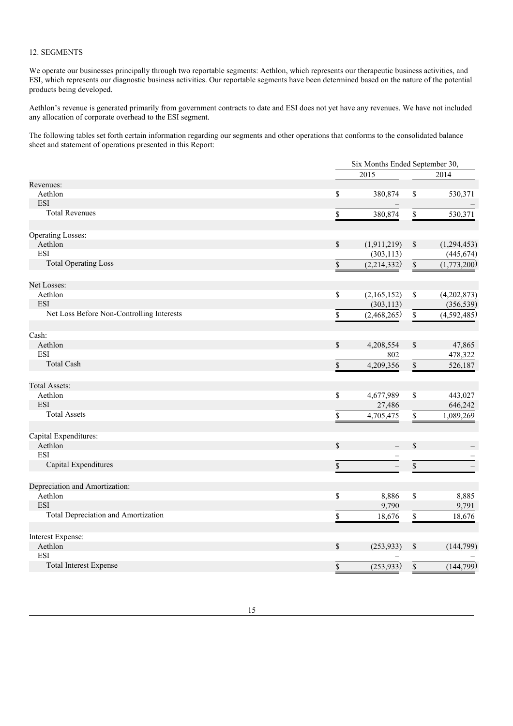# 12. SEGMENTS

We operate our businesses principally through two reportable segments: Aethlon, which represents our therapeutic business activities, and ESI, which represents our diagnostic business activities. Our reportable segments have been determined based on the nature of the potential products being developed.

Aethlon's revenue is generated primarily from government contracts to date and ESI does not yet have any revenues. We have not included any allocation of corporate overhead to the ESI segment.

The following tables set forth certain information regarding our segments and other operations that conforms to the consolidated balance sheet and statement of operations presented in this Report:

|                                             | Six Months Ended September 30, |                                                                       |             |  |
|---------------------------------------------|--------------------------------|-----------------------------------------------------------------------|-------------|--|
|                                             | 2015                           |                                                                       | 2014        |  |
| Revenues:                                   |                                |                                                                       |             |  |
| Aethlon                                     | \$<br>380,874                  | \$                                                                    | 530,371     |  |
| <b>ESI</b>                                  |                                |                                                                       |             |  |
| <b>Total Revenues</b>                       | \$<br>380,874                  | \$                                                                    | 530,371     |  |
| <b>Operating Losses:</b>                    |                                |                                                                       |             |  |
| Aethlon                                     | \$<br>(1, 911, 219)            | $\mathbb{S}$                                                          | (1,294,453) |  |
| <b>ESI</b>                                  | (303, 113)                     |                                                                       | (445, 674)  |  |
| <b>Total Operating Loss</b>                 | \$<br>(2,214,332)              | $\frac{1}{2}$                                                         | (1,773,200) |  |
| Net Losses:                                 |                                |                                                                       |             |  |
| Aethlon                                     | \$<br>(2,165,152)              | \$                                                                    | (4,202,873) |  |
| <b>ESI</b>                                  | (303, 113)                     |                                                                       | (356, 539)  |  |
| Net Loss Before Non-Controlling Interests   | \$<br>(2,468,265)              | \$                                                                    | (4,592,485) |  |
| Cash:                                       |                                |                                                                       |             |  |
| Aethlon                                     | \$<br>4,208,554                | \$                                                                    | 47,865      |  |
| <b>ESI</b>                                  | 802                            |                                                                       | 478,322     |  |
| <b>Total Cash</b>                           | \$<br>4,209,356                | $\frac{1}{2}$                                                         | 526,187     |  |
| <b>Total Assets:</b>                        |                                |                                                                       |             |  |
| Aethlon                                     | \$<br>4,677,989                | \$                                                                    | 443,027     |  |
| <b>ESI</b>                                  | 27,486                         |                                                                       | 646,242     |  |
| <b>Total Assets</b>                         | \$<br>4,705,475                | \$                                                                    | 1,089,269   |  |
| Capital Expenditures:                       |                                |                                                                       |             |  |
| Aethlon                                     | \$<br>$\overline{\phantom{0}}$ | \$                                                                    |             |  |
| <b>ESI</b>                                  |                                |                                                                       |             |  |
| Capital Expenditures                        | \$                             | \$                                                                    |             |  |
| Depreciation and Amortization:              |                                |                                                                       |             |  |
| Aethlon                                     | \$<br>8,886                    | \$                                                                    | 8,885       |  |
| <b>ESI</b>                                  | 9,790                          |                                                                       | 9,791       |  |
| Total Depreciation and Amortization         | \$<br>18,676                   | \$                                                                    | 18,676      |  |
| Interest Expense:                           |                                |                                                                       |             |  |
| Aethlon                                     | \$<br>(253, 933)               | $\mathbb{S}% _{t}\left( t\right) \equiv\mathbb{S}_{t}\left( t\right)$ | (144, 799)  |  |
| <b>ESI</b><br><b>Total Interest Expense</b> | \$<br>(253, 933)               | \$                                                                    | (144, 799)  |  |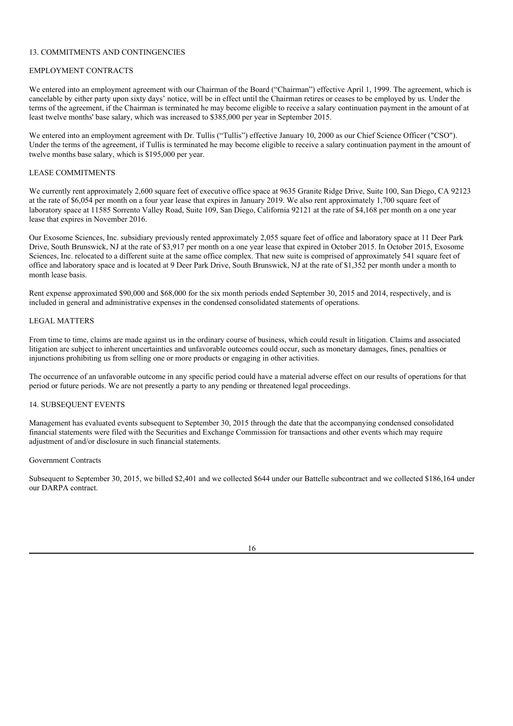## 13. COMMITMENTS AND CONTINGENCIES

### EMPLOYMENT CONTRACTS

We entered into an employment agreement with our Chairman of the Board ("Chairman") effective April 1, 1999. The agreement, which is cancelable by either party upon sixty days' notice, will be in effect until the Chairman retires or ceases to be employed by us. Under the terms of the agreement, if the Chairman is terminated he may become eligible to receive a salary continuation payment in the amount of at least twelve months' base salary, which was increased to \$385,000 per year in September 2015.

We entered into an employment agreement with Dr. Tullis ("Tullis") effective January 10, 2000 as our Chief Science Officer ("CSO"). Under the terms of the agreement, if Tullis is terminated he may become eligible to receive a salary continuation payment in the amount of twelve months base salary, which is \$195,000 per year.

#### LEASE COMMITMENTS

We currently rent approximately 2,600 square feet of executive office space at 9635 Granite Ridge Drive, Suite 100, San Diego, CA 92123 at the rate of \$6,054 per month on a four year lease that expires in January 2019. We also rent approximately 1,700 square feet of laboratory space at 11585 Sorrento Valley Road, Suite 109, San Diego, California 92121 at the rate of \$4,168 per month on a one year lease that expires in November 2016.

Our Exosome Sciences, Inc. subsidiary previously rented approximately 2,055 square feet of office and laboratory space at 11 Deer Park Drive, South Brunswick, NJ at the rate of \$3,917 per month on a one year lease that expired in October 2015. In October 2015, Exosome Sciences, Inc. relocated to a different suite at the same office complex. That new suite is comprised of approximately 541 square feet of office and laboratory space and is located at 9 Deer Park Drive, South Brunswick, NJ at the rate of \$1,352 per month under a month to month lease basis.

Rent expense approximated \$90,000 and \$68,000 for the six month periods ended September 30, 2015 and 2014, respectively, and is included in general and administrative expenses in the condensed consolidated statements of operations.

# LEGAL MATTERS

From time to time, claims are made against us in the ordinary course of business, which could result in litigation. Claims and associated litigation are subject to inherent uncertainties and unfavorable outcomes could occur, such as monetary damages, fines, penalties or injunctions prohibiting us from selling one or more products or engaging in other activities.

The occurrence of an unfavorable outcome in any specific period could have a material adverse effect on our results of operations for that period or future periods. We are not presently a party to any pending or threatened legal proceedings.

# 14. SUBSEQUENT EVENTS

Management has evaluated events subsequent to September 30, 2015 through the date that the accompanying condensed consolidated financial statements were filed with the Securities and Exchange Commission for transactions and other events which may require adjustment of and/or disclosure in such financial statements.

#### Government Contracts

Subsequent to September 30, 2015, we billed \$2,401 and we collected \$644 under our Battelle subcontract and we collected \$186,164 under our DARPA contract.

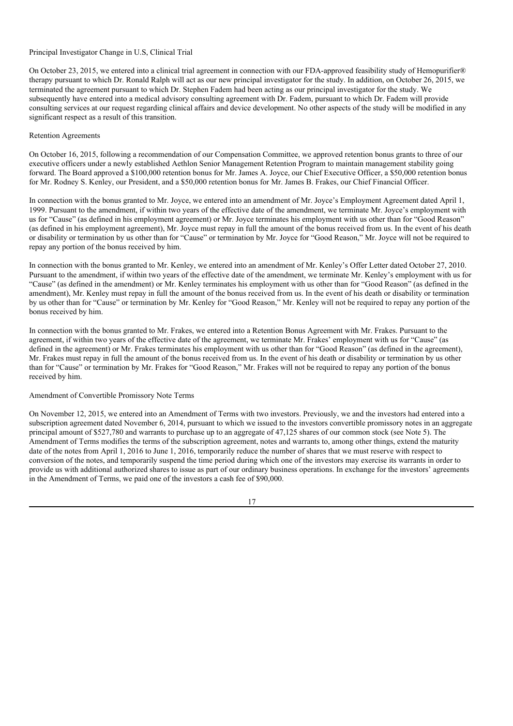### Principal Investigator Change in U.S, Clinical Trial

On October 23, 2015, we entered into a clinical trial agreement in connection with our FDA-approved feasibility study of Hemopurifier® therapy pursuant to which Dr. Ronald Ralph will act as our new principal investigator for the study. In addition, on October 26, 2015, we terminated the agreement pursuant to which Dr. Stephen Fadem had been acting as our principal investigator for the study. We subsequently have entered into a medical advisory consulting agreement with Dr. Fadem, pursuant to which Dr. Fadem will provide consulting services at our request regarding clinical affairs and device development. No other aspects of the study will be modified in any significant respect as a result of this transition.

### Retention Agreements

On October 16, 2015, following a recommendation of our Compensation Committee, we approved retention bonus grants to three of our executive officers under a newly established Aethlon Senior Management Retention Program to maintain management stability going forward. The Board approved a \$100,000 retention bonus for Mr. James A. Joyce, our Chief Executive Officer, a \$50,000 retention bonus for Mr. Rodney S. Kenley, our President, and a \$50,000 retention bonus for Mr. James B. Frakes, our Chief Financial Officer.

In connection with the bonus granted to Mr. Joyce, we entered into an amendment of Mr. Joyce's Employment Agreement dated April 1, 1999. Pursuant to the amendment, if within two years of the effective date of the amendment, we terminate Mr. Joyce's employment with us for "Cause" (as defined in his employment agreement) or Mr. Joyce terminates his employment with us other than for "Good Reason" (as defined in his employment agreement), Mr. Joyce must repay in full the amount of the bonus received from us. In the event of his death or disability or termination by us other than for "Cause" or termination by Mr. Joyce for "Good Reason," Mr. Joyce will not be required to repay any portion of the bonus received by him.

In connection with the bonus granted to Mr. Kenley, we entered into an amendment of Mr. Kenley's Offer Letter dated October 27, 2010. Pursuant to the amendment, if within two years of the effective date of the amendment, we terminate Mr. Kenley's employment with us for "Cause" (as defined in the amendment) or Mr. Kenley terminates his employment with us other than for "Good Reason" (as defined in the amendment), Mr. Kenley must repay in full the amount of the bonus received from us. In the event of his death or disability or termination by us other than for "Cause" or termination by Mr. Kenley for "Good Reason," Mr. Kenley will not be required to repay any portion of the bonus received by him.

In connection with the bonus granted to Mr. Frakes, we entered into a Retention Bonus Agreement with Mr. Frakes. Pursuant to the agreement, if within two years of the effective date of the agreement, we terminate Mr. Frakes' employment with us for "Cause" (as defined in the agreement) or Mr. Frakes terminates his employment with us other than for "Good Reason" (as defined in the agreement), Mr. Frakes must repay in full the amount of the bonus received from us. In the event of his death or disability or termination by us other than for "Cause" or termination by Mr. Frakes for "Good Reason," Mr. Frakes will not be required to repay any portion of the bonus received by him.

### Amendment of Convertible Promissory Note Terms

On November 12, 2015, we entered into an Amendment of Terms with two investors. Previously, we and the investors had entered into a subscription agreement dated November 6, 2014, pursuant to which we issued to the investors convertible promissory notes in an aggregate principal amount of \$527,780 and warrants to purchase up to an aggregate of 47,125 shares of our common stock (see Note 5). The Amendment of Terms modifies the terms of the subscription agreement, notes and warrants to, among other things, extend the maturity date of the notes from April 1, 2016 to June 1, 2016, temporarily reduce the number of shares that we must reserve with respect to conversion of the notes, and temporarily suspend the time period during which one of the investors may exercise its warrants in order to provide us with additional authorized shares to issue as part of our ordinary business operations. In exchange for the investors' agreements in the Amendment of Terms, we paid one of the investors a cash fee of \$90,000.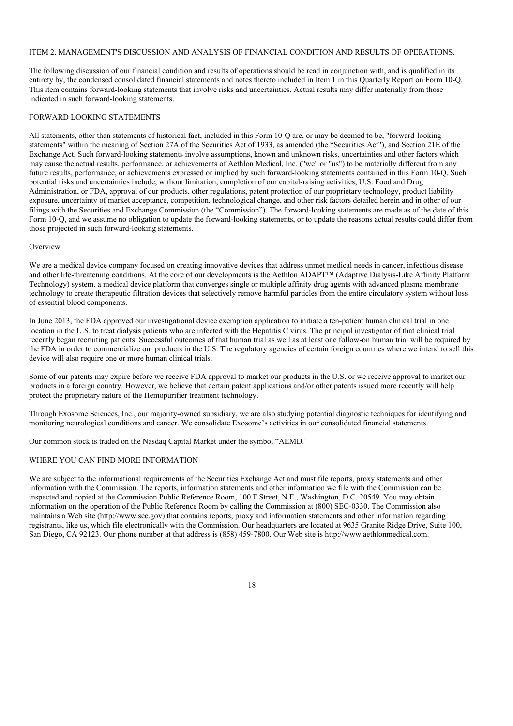# ITEM 2. MANAGEMENT'S DISCUSSION AND ANALYSIS OF FINANCIAL CONDITION AND RESULTS OF OPERATIONS.

The following discussion of our financial condition and results of operations should be read in conjunction with, and is qualified in its entirety by, the condensed consolidated financial statements and notes thereto included in Item 1 in this Quarterly Report on Form 10-Q. This item contains forward-looking statements that involve risks and uncertainties. Actual results may differ materially from those indicated in such forward-looking statements.

### FORWARD LOOKING STATEMENTS

All statements, other than statements of historical fact, included in this Form 10-Q are, or may be deemed to be, "forward-looking statements" within the meaning of Section 27A of the Securities Act of 1933, as amended (the "Securities Act"), and Section 21E of the Exchange Act. Such forward-looking statements involve assumptions, known and unknown risks, uncertainties and other factors which may cause the actual results, performance, or achievements of Aethlon Medical, Inc. ("we" or "us") to be materially different from any future results, performance, or achievements expressed or implied by such forward-looking statements contained in this Form 10-Q. Such potential risks and uncertainties include, without limitation, completion of our capital-raising activities, U.S. Food and Drug Administration, or FDA, approval of our products, other regulations, patent protection of our proprietary technology, product liability exposure, uncertainty of market acceptance, competition, technological change, and other risk factors detailed herein and in other of our filings with the Securities and Exchange Commission (the "Commission"). The forward-looking statements are made as of the date of this Form 10-Q, and we assume no obligation to update the forward-looking statements, or to update the reasons actual results could differ from those projected in such forward-looking statements.

### Overview

We are a medical device company focused on creating innovative devices that address unmet medical needs in cancer, infectious disease and other life-threatening conditions. At the core of our developments is the Aethlon ADAPT™ (Adaptive Dialysis-Like Affinity Platform Technology) system, a medical device platform that converges single or multiple affinity drug agents with advanced plasma membrane technology to create therapeutic filtration devices that selectively remove harmful particles from the entire circulatory system without loss of essential blood components.

In June 2013, the FDA approved our investigational device exemption application to initiate a ten-patient human clinical trial in one location in the U.S. to treat dialysis patients who are infected with the Hepatitis C virus. The principal investigator of that clinical trial recently began recruiting patients. Successful outcomes of that human trial as well as at least one follow-on human trial will be required by the FDA in order to commercialize our products in the U.S. The regulatory agencies of certain foreign countries where we intend to sell this device will also require one or more human clinical trials.

Some of our patents may expire before we receive FDA approval to market our products in the U.S. or we receive approval to market our products in a foreign country. However, we believe that certain patent applications and/or other patents issued more recently will help protect the proprietary nature of the Hemopurifier treatment technology.

Through Exosome Sciences, Inc., our majority-owned subsidiary, we are also studying potential diagnostic techniques for identifying and monitoring neurological conditions and cancer. We consolidate Exosome's activities in our consolidated financial statements.

Our common stock is traded on the Nasdaq Capital Market under the symbol "AEMD."

# WHERE YOU CAN FIND MORE INFORMATION

We are subject to the informational requirements of the Securities Exchange Act and must file reports, proxy statements and other information with the Commission. The reports, information statements and other information we file with the Commission can be inspected and copied at the Commission Public Reference Room, 100 F Street, N.E., Washington, D.C. 20549. You may obtain information on the operation of the Public Reference Room by calling the Commission at (800) SEC-0330. The Commission also maintains a Web site (http://www.sec.gov) that contains reports, proxy and information statements and other information regarding registrants, like us, which file electronically with the Commission. Our headquarters are located at 9635 Granite Ridge Drive, Suite 100, San Diego, CA 92123. Our phone number at that address is (858) 459-7800. Our Web site is http://www.aethlonmedical.com.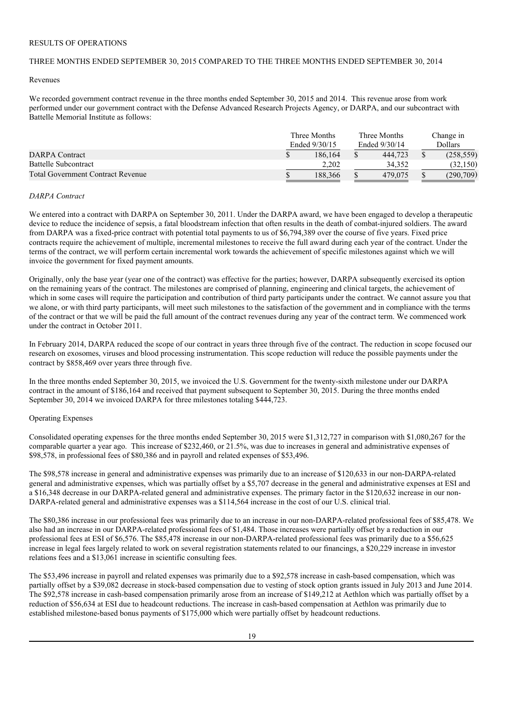#### RESULTS OF OPERATIONS

# THREE MONTHS ENDED SEPTEMBER 30, 2015 COMPARED TO THE THREE MONTHS ENDED SEPTEMBER 30, 2014

#### Revenues

We recorded government contract revenue in the three months ended September 30, 2015 and 2014. This revenue arose from work performed under our government contract with the Defense Advanced Research Projects Agency, or DARPA, and our subcontract with Battelle Memorial Institute as follows:

|                                          | Three Months    |  | Three Months  |  | Change in      |
|------------------------------------------|-----------------|--|---------------|--|----------------|
|                                          | Ended $9/30/15$ |  | Ended 9/30/14 |  | <b>Dollars</b> |
| <b>DARPA</b> Contract                    | 186.164         |  | 444.723       |  | (258, 559)     |
| <b>Battelle Subcontract</b>              | 2.202           |  | 34.352        |  | (32, 150)      |
| <b>Total Government Contract Revenue</b> | 188.366         |  | 479,075       |  | (290.709)      |

#### *DARPA Contract*

We entered into a contract with DARPA on September 30, 2011. Under the DARPA award, we have been engaged to develop a therapeutic device to reduce the incidence of sepsis, a fatal bloodstream infection that often results in the death of combat-injured soldiers. The award from DARPA was a fixed-price contract with potential total payments to us of \$6,794,389 over the course of five years. Fixed price contracts require the achievement of multiple, incremental milestones to receive the full award during each year of the contract. Under the terms of the contract, we will perform certain incremental work towards the achievement of specific milestones against which we will invoice the government for fixed payment amounts.

Originally, only the base year (year one of the contract) was effective for the parties; however, DARPA subsequently exercised its option on the remaining years of the contract. The milestones are comprised of planning, engineering and clinical targets, the achievement of which in some cases will require the participation and contribution of third party participants under the contract. We cannot assure you that we alone, or with third party participants, will meet such milestones to the satisfaction of the government and in compliance with the terms of the contract or that we will be paid the full amount of the contract revenues during any year of the contract term. We commenced work under the contract in October 2011.

In February 2014, DARPA reduced the scope of our contract in years three through five of the contract. The reduction in scope focused our research on exosomes, viruses and blood processing instrumentation. This scope reduction will reduce the possible payments under the contract by \$858,469 over years three through five.

In the three months ended September 30, 2015, we invoiced the U.S. Government for the twenty-sixth milestone under our DARPA contract in the amount of \$186,164 and received that payment subsequent to September 30, 2015. During the three months ended September 30, 2014 we invoiced DARPA for three milestones totaling \$444,723.

#### Operating Expenses

Consolidated operating expenses for the three months ended September 30, 2015 were \$1,312,727 in comparison with \$1,080,267 for the comparable quarter a year ago. This increase of \$232,460, or 21.5%, was due to increases in general and administrative expenses of \$98,578, in professional fees of \$80,386 and in payroll and related expenses of \$53,496.

The \$98,578 increase in general and administrative expenses was primarily due to an increase of \$120,633 in our non-DARPA-related general and administrative expenses, which was partially offset by a \$5,707 decrease in the general and administrative expenses at ESI and a \$16,348 decrease in our DARPA-related general and administrative expenses. The primary factor in the \$120,632 increase in our non-DARPA-related general and administrative expenses was a \$114,564 increase in the cost of our U.S. clinical trial.

The \$80,386 increase in our professional fees was primarily due to an increase in our non-DARPA-related professional fees of \$85,478. We also had an increase in our DARPA-related professional fees of \$1,484. Those increases were partially offset by a reduction in our professional fees at ESI of \$6,576. The \$85,478 increase in our non-DARPA-related professional fees was primarily due to a \$56,625 increase in legal fees largely related to work on several registration statements related to our financings, a \$20,229 increase in investor relations fees and a \$13,061 increase in scientific consulting fees.

The \$53,496 increase in payroll and related expenses was primarily due to a \$92,578 increase in cash-based compensation, which was partially offset by a \$39,082 decrease in stock-based compensation due to vesting of stock option grants issued in July 2013 and June 2014. The \$92,578 increase in cash-based compensation primarily arose from an increase of \$149,212 at Aethlon which was partially offset by a reduction of \$56,634 at ESI due to headcount reductions. The increase in cash-based compensation at Aethlon was primarily due to established milestone-based bonus payments of \$175,000 which were partially offset by headcount reductions.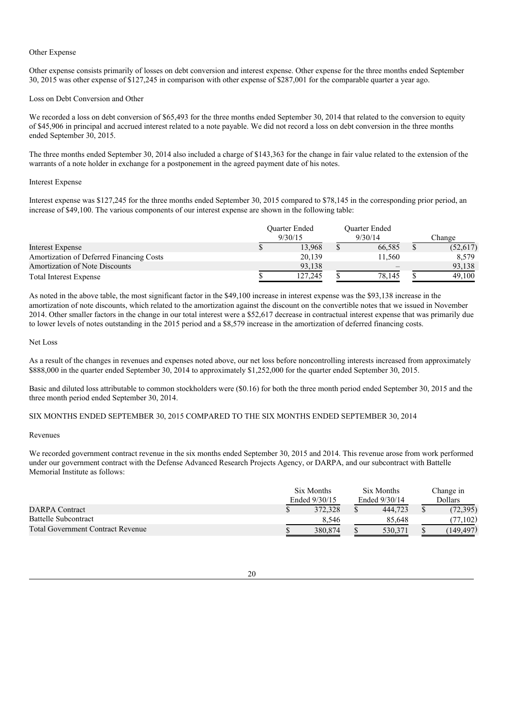#### Other Expense

Other expense consists primarily of losses on debt conversion and interest expense. Other expense for the three months ended September 30, 2015 was other expense of \$127,245 in comparison with other expense of \$287,001 for the comparable quarter a year ago.

### Loss on Debt Conversion and Other

We recorded a loss on debt conversion of \$65,493 for the three months ended September 30, 2014 that related to the conversion to equity of \$45,906 in principal and accrued interest related to a note payable. We did not record a loss on debt conversion in the three months ended September 30, 2015.

The three months ended September 30, 2014 also included a charge of \$143,363 for the change in fair value related to the extension of the warrants of a note holder in exchange for a postponement in the agreed payment date of his notes.

#### Interest Expense

Interest expense was \$127,245 for the three months ended September 30, 2015 compared to \$78,145 in the corresponding prior period, an increase of \$49,100. The various components of our interest expense are shown in the following table:

|                                          | <b>Ouarter Ended</b><br>9/30/15 |  | <b>Ouarter Ended</b><br>9/30/14 |  | Change    |  |
|------------------------------------------|---------------------------------|--|---------------------------------|--|-----------|--|
| Interest Expense                         | 13.968                          |  | 66,585                          |  | (52, 617) |  |
| Amortization of Deferred Financing Costs | 20,139                          |  | 11.560                          |  | 8.579     |  |
| <b>Amortization of Note Discounts</b>    | 93.138                          |  |                                 |  | 93,138    |  |
| <b>Total Interest Expense</b>            | 127.245                         |  | 78.145                          |  | 49,100    |  |

As noted in the above table, the most significant factor in the \$49,100 increase in interest expense was the \$93,138 increase in the amortization of note discounts, which related to the amortization against the discount on the convertible notes that we issued in November 2014. Other smaller factors in the change in our total interest were a \$52,617 decrease in contractual interest expense that was primarily due to lower levels of notes outstanding in the 2015 period and a \$8,579 increase in the amortization of deferred financing costs.

#### Net Loss

As a result of the changes in revenues and expenses noted above, our net loss before noncontrolling interests increased from approximately \$888,000 in the quarter ended September 30, 2014 to approximately \$1,252,000 for the quarter ended September 30, 2015.

Basic and diluted loss attributable to common stockholders were (\$0.16) for both the three month period ended September 30, 2015 and the three month period ended September 30, 2014.

SIX MONTHS ENDED SEPTEMBER 30, 2015 COMPARED TO THE SIX MONTHS ENDED SEPTEMBER 30, 2014

#### Revenues

We recorded government contract revenue in the six months ended September 30, 2015 and 2014. This revenue arose from work performed under our government contract with the Defense Advanced Research Projects Agency, or DARPA, and our subcontract with Battelle Memorial Institute as follows:

|                                          | Six Months    |  | Six Months    |  | Change in |  |
|------------------------------------------|---------------|--|---------------|--|-----------|--|
|                                          | Ended 9/30/15 |  | Ended 9/30/14 |  | Dollars   |  |
| DARPA Contract                           | 372,328       |  | 444,723       |  | (72, 395) |  |
| Battelle Subcontract                     | 8.546         |  | 85,648        |  | (77, 102) |  |
| <b>Total Government Contract Revenue</b> | 380,874       |  | 530,371       |  | (149.497) |  |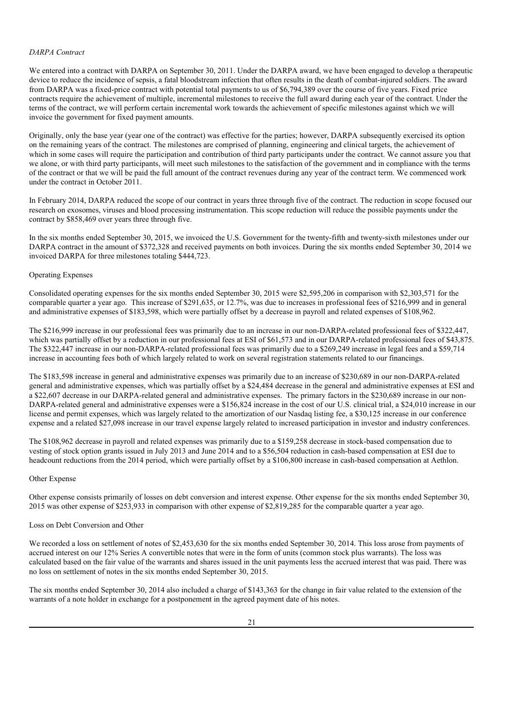#### *DARPA Contract*

We entered into a contract with DARPA on September 30, 2011. Under the DARPA award, we have been engaged to develop a therapeutic device to reduce the incidence of sepsis, a fatal bloodstream infection that often results in the death of combat-injured soldiers. The award from DARPA was a fixed-price contract with potential total payments to us of \$6,794,389 over the course of five years. Fixed price contracts require the achievement of multiple, incremental milestones to receive the full award during each year of the contract. Under the terms of the contract, we will perform certain incremental work towards the achievement of specific milestones against which we will invoice the government for fixed payment amounts.

Originally, only the base year (year one of the contract) was effective for the parties; however, DARPA subsequently exercised its option on the remaining years of the contract. The milestones are comprised of planning, engineering and clinical targets, the achievement of which in some cases will require the participation and contribution of third party participants under the contract. We cannot assure you that we alone, or with third party participants, will meet such milestones to the satisfaction of the government and in compliance with the terms of the contract or that we will be paid the full amount of the contract revenues during any year of the contract term. We commenced work under the contract in October 2011.

In February 2014, DARPA reduced the scope of our contract in years three through five of the contract. The reduction in scope focused our research on exosomes, viruses and blood processing instrumentation. This scope reduction will reduce the possible payments under the contract by \$858,469 over years three through five.

In the six months ended September 30, 2015, we invoiced the U.S. Government for the twenty-fifth and twenty-sixth milestones under our DARPA contract in the amount of \$372,328 and received payments on both invoices. During the six months ended September 30, 2014 we invoiced DARPA for three milestones totaling \$444,723.

#### Operating Expenses

Consolidated operating expenses for the six months ended September 30, 2015 were \$2,595,206 in comparison with \$2,303,571 for the comparable quarter a year ago. This increase of \$291,635, or 12.7%, was due to increases in professional fees of \$216,999 and in general and administrative expenses of \$183,598, which were partially offset by a decrease in payroll and related expenses of \$108,962.

The \$216,999 increase in our professional fees was primarily due to an increase in our non-DARPA-related professional fees of \$322,447, which was partially offset by a reduction in our professional fees at ESI of \$61,573 and in our DARPA-related professional fees of \$43,875. The \$322,447 increase in our non-DARPA-related professional fees was primarily due to a \$269,249 increase in legal fees and a \$59,714 increase in accounting fees both of which largely related to work on several registration statements related to our financings.

The \$183,598 increase in general and administrative expenses was primarily due to an increase of \$230,689 in our non-DARPA-related general and administrative expenses, which was partially offset by a \$24,484 decrease in the general and administrative expenses at ESI and a \$22,607 decrease in our DARPA-related general and administrative expenses. The primary factors in the \$230,689 increase in our non-DARPA-related general and administrative expenses were a \$156,824 increase in the cost of our U.S. clinical trial, a \$24,010 increase in our license and permit expenses, which was largely related to the amortization of our Nasdaq listing fee, a \$30,125 increase in our conference expense and a related \$27,098 increase in our travel expense largely related to increased participation in investor and industry conferences.

The \$108,962 decrease in payroll and related expenses was primarily due to a \$159,258 decrease in stock-based compensation due to vesting of stock option grants issued in July 2013 and June 2014 and to a \$56,504 reduction in cash-based compensation at ESI due to headcount reductions from the 2014 period, which were partially offset by a \$106,800 increase in cash-based compensation at Aethlon.

#### Other Expense

Other expense consists primarily of losses on debt conversion and interest expense. Other expense for the six months ended September 30, 2015 was other expense of \$253,933 in comparison with other expense of \$2,819,285 for the comparable quarter a year ago.

### Loss on Debt Conversion and Other

We recorded a loss on settlement of notes of \$2,453,630 for the six months ended September 30, 2014. This loss arose from payments of accrued interest on our 12% Series A convertible notes that were in the form of units (common stock plus warrants). The loss was calculated based on the fair value of the warrants and shares issued in the unit payments less the accrued interest that was paid. There was no loss on settlement of notes in the six months ended September 30, 2015.

The six months ended September 30, 2014 also included a charge of \$143,363 for the change in fair value related to the extension of the warrants of a note holder in exchange for a postponement in the agreed payment date of his notes.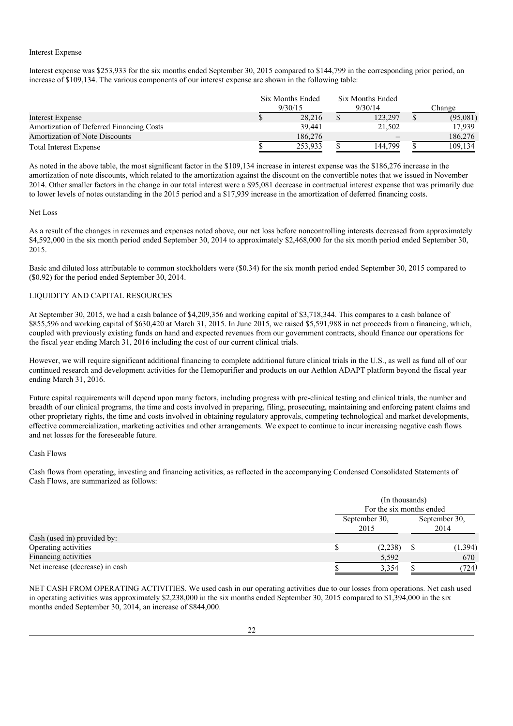#### Interest Expense

Interest expense was \$253,933 for the six months ended September 30, 2015 compared to \$144,799 in the corresponding prior period, an increase of \$109,134. The various components of our interest expense are shown in the following table:

|                                          | Six Months Ended |  | Six Months Ended |          |
|------------------------------------------|------------------|--|------------------|----------|
|                                          | 9/30/15          |  | 9/30/14          | Change   |
| Interest Expense                         | 28,216           |  | 123,297          | (95,081) |
| Amortization of Deferred Financing Costs | 39.441           |  | 21,502           | 17,939   |
| Amortization of Note Discounts           | 186,276          |  |                  | 186,276  |
| <b>Total Interest Expense</b>            | 253.933          |  | 144.799          | 109.134  |

As noted in the above table, the most significant factor in the \$109,134 increase in interest expense was the \$186,276 increase in the amortization of note discounts, which related to the amortization against the discount on the convertible notes that we issued in November 2014. Other smaller factors in the change in our total interest were a \$95,081 decrease in contractual interest expense that was primarily due to lower levels of notes outstanding in the 2015 period and a \$17,939 increase in the amortization of deferred financing costs.

### Net Loss

As a result of the changes in revenues and expenses noted above, our net loss before noncontrolling interests decreased from approximately \$4,592,000 in the six month period ended September 30, 2014 to approximately \$2,468,000 for the six month period ended September 30, 2015.

Basic and diluted loss attributable to common stockholders were (\$0.34) for the six month period ended September 30, 2015 compared to (\$0.92) for the period ended September 30, 2014.

### LIQUIDITY AND CAPITAL RESOURCES

At September 30, 2015, we had a cash balance of \$4,209,356 and working capital of \$3,718,344. This compares to a cash balance of \$855,596 and working capital of \$630,420 at March 31, 2015. In June 2015, we raised \$5,591,988 in net proceeds from a financing, which, coupled with previously existing funds on hand and expected revenues from our government contracts, should finance our operations for the fiscal year ending March 31, 2016 including the cost of our current clinical trials.

However, we will require significant additional financing to complete additional future clinical trials in the U.S., as well as fund all of our continued research and development activities for the Hemopurifier and products on our Aethlon ADAPT platform beyond the fiscal year ending March 31, 2016.

Future capital requirements will depend upon many factors, including progress with pre-clinical testing and clinical trials, the number and breadth of our clinical programs, the time and costs involved in preparing, filing, prosecuting, maintaining and enforcing patent claims and other proprietary rights, the time and costs involved in obtaining regulatory approvals, competing technological and market developments, effective commercialization, marketing activities and other arrangements. We expect to continue to incur increasing negative cash flows and net losses for the foreseeable future.

# Cash Flows

Cash flows from operating, investing and financing activities, as reflected in the accompanying Condensed Consolidated Statements of Cash Flows, are summarized as follows:

|                                 | (In thousands)<br>For the six months ended |  |                       |  |
|---------------------------------|--------------------------------------------|--|-----------------------|--|
|                                 | September 30,<br>2015                      |  | September 30,<br>2014 |  |
| Cash (used in) provided by:     |                                            |  |                       |  |
| Operating activities            | (2,238)                                    |  | (1, 394)              |  |
| Financing activities            | 5,592                                      |  | 670                   |  |
| Net increase (decrease) in cash | 3,354                                      |  | (724)                 |  |

NET CASH FROM OPERATING ACTIVITIES. We used cash in our operating activities due to our losses from operations. Net cash used in operating activities was approximately \$2,238,000 in the six months ended September 30, 2015 compared to \$1,394,000 in the six months ended September 30, 2014, an increase of \$844,000.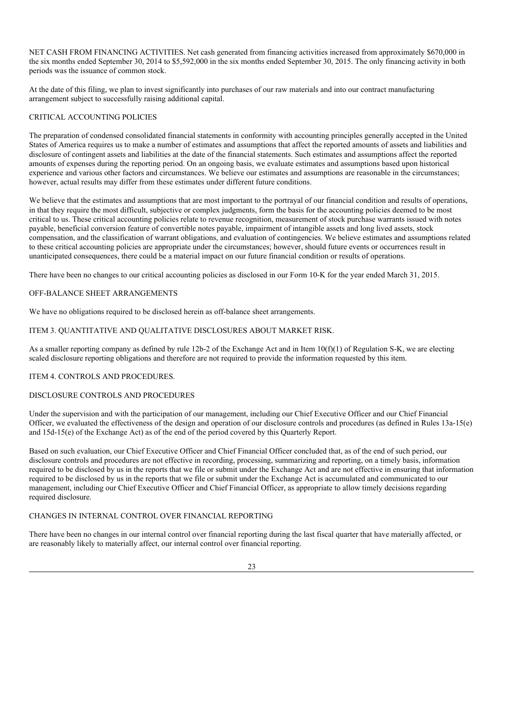NET CASH FROM FINANCING ACTIVITIES. Net cash generated from financing activities increased from approximately \$670,000 in the six months ended September 30, 2014 to \$5,592,000 in the six months ended September 30, 2015. The only financing activity in both periods was the issuance of common stock.

At the date of this filing, we plan to invest significantly into purchases of our raw materials and into our contract manufacturing arrangement subject to successfully raising additional capital.

# CRITICAL ACCOUNTING POLICIES

The preparation of condensed consolidated financial statements in conformity with accounting principles generally accepted in the United States of America requires us to make a number of estimates and assumptions that affect the reported amounts of assets and liabilities and disclosure of contingent assets and liabilities at the date of the financial statements. Such estimates and assumptions affect the reported amounts of expenses during the reporting period. On an ongoing basis, we evaluate estimates and assumptions based upon historical experience and various other factors and circumstances. We believe our estimates and assumptions are reasonable in the circumstances; however, actual results may differ from these estimates under different future conditions.

We believe that the estimates and assumptions that are most important to the portrayal of our financial condition and results of operations, in that they require the most difficult, subjective or complex judgments, form the basis for the accounting policies deemed to be most critical to us. These critical accounting policies relate to revenue recognition, measurement of stock purchase warrants issued with notes payable, beneficial conversion feature of convertible notes payable, impairment of intangible assets and long lived assets, stock compensation, and the classification of warrant obligations, and evaluation of contingencies. We believe estimates and assumptions related to these critical accounting policies are appropriate under the circumstances; however, should future events or occurrences result in unanticipated consequences, there could be a material impact on our future financial condition or results of operations.

There have been no changes to our critical accounting policies as disclosed in our Form 10-K for the year ended March 31, 2015.

### OFF-BALANCE SHEET ARRANGEMENTS

We have no obligations required to be disclosed herein as off-balance sheet arrangements.

## ITEM 3. QUANTITATIVE AND QUALITATIVE DISCLOSURES ABOUT MARKET RISK.

As a smaller reporting company as defined by rule 12b-2 of the Exchange Act and in Item  $10(f)(1)$  of Regulation S-K, we are electing scaled disclosure reporting obligations and therefore are not required to provide the information requested by this item.

#### ITEM 4. CONTROLS AND PROCEDURES.

### DISCLOSURE CONTROLS AND PROCEDURES

Under the supervision and with the participation of our management, including our Chief Executive Officer and our Chief Financial Officer, we evaluated the effectiveness of the design and operation of our disclosure controls and procedures (as defined in Rules 13a-15(e) and 15d-15(e) of the Exchange Act) as of the end of the period covered by this Quarterly Report.

Based on such evaluation, our Chief Executive Officer and Chief Financial Officer concluded that, as of the end of such period, our disclosure controls and procedures are not effective in recording, processing, summarizing and reporting, on a timely basis, information required to be disclosed by us in the reports that we file or submit under the Exchange Act and are not effective in ensuring that information required to be disclosed by us in the reports that we file or submit under the Exchange Act is accumulated and communicated to our management, including our Chief Executive Officer and Chief Financial Officer, as appropriate to allow timely decisions regarding required disclosure.

# CHANGES IN INTERNAL CONTROL OVER FINANCIAL REPORTING

There have been no changes in our internal control over financial reporting during the last fiscal quarter that have materially affected, or are reasonably likely to materially affect, our internal control over financial reporting.

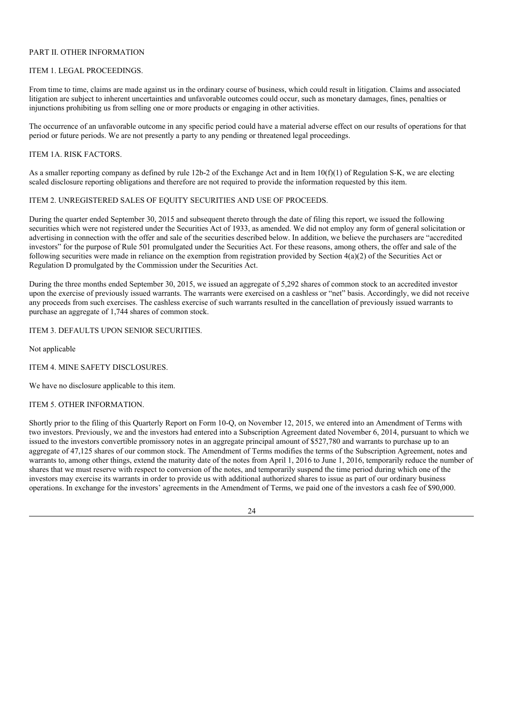# PART II. OTHER INFORMATION

### ITEM 1. LEGAL PROCEEDINGS.

From time to time, claims are made against us in the ordinary course of business, which could result in litigation. Claims and associated litigation are subject to inherent uncertainties and unfavorable outcomes could occur, such as monetary damages, fines, penalties or injunctions prohibiting us from selling one or more products or engaging in other activities.

The occurrence of an unfavorable outcome in any specific period could have a material adverse effect on our results of operations for that period or future periods. We are not presently a party to any pending or threatened legal proceedings.

#### ITEM 1A. RISK FACTORS.

As a smaller reporting company as defined by rule 12b-2 of the Exchange Act and in Item  $10(f)(1)$  of Regulation S-K, we are electing scaled disclosure reporting obligations and therefore are not required to provide the information requested by this item.

# ITEM 2. UNREGISTERED SALES OF EQUITY SECURITIES AND USE OF PROCEEDS.

During the quarter ended September 30, 2015 and subsequent thereto through the date of filing this report, we issued the following securities which were not registered under the Securities Act of 1933, as amended. We did not employ any form of general solicitation or advertising in connection with the offer and sale of the securities described below. In addition, we believe the purchasers are "accredited investors" for the purpose of Rule 501 promulgated under the Securities Act. For these reasons, among others, the offer and sale of the following securities were made in reliance on the exemption from registration provided by Section  $4(a)(2)$  of the Securities Act or Regulation D promulgated by the Commission under the Securities Act.

During the three months ended September 30, 2015, we issued an aggregate of 5,292 shares of common stock to an accredited investor upon the exercise of previously issued warrants. The warrants were exercised on a cashless or "net" basis. Accordingly, we did not receive any proceeds from such exercises. The cashless exercise of such warrants resulted in the cancellation of previously issued warrants to purchase an aggregate of 1,744 shares of common stock.

# ITEM 3. DEFAULTS UPON SENIOR SECURITIES.

Not applicable

ITEM 4. MINE SAFETY DISCLOSURES.

We have no disclosure applicable to this item.

#### ITEM 5. OTHER INFORMATION.

Shortly prior to the filing of this Quarterly Report on Form 10-Q, on November 12, 2015, we entered into an Amendment of Terms with two investors. Previously, we and the investors had entered into a Subscription Agreement dated November 6, 2014, pursuant to which we issued to the investors convertible promissory notes in an aggregate principal amount of \$527,780 and warrants to purchase up to an aggregate of 47,125 shares of our common stock. The Amendment of Terms modifies the terms of the Subscription Agreement, notes and warrants to, among other things, extend the maturity date of the notes from April 1, 2016 to June 1, 2016, temporarily reduce the number of shares that we must reserve with respect to conversion of the notes, and temporarily suspend the time period during which one of the investors may exercise its warrants in order to provide us with additional authorized shares to issue as part of our ordinary business operations. In exchange for the investors' agreements in the Amendment of Terms, we paid one of the investors a cash fee of \$90,000.

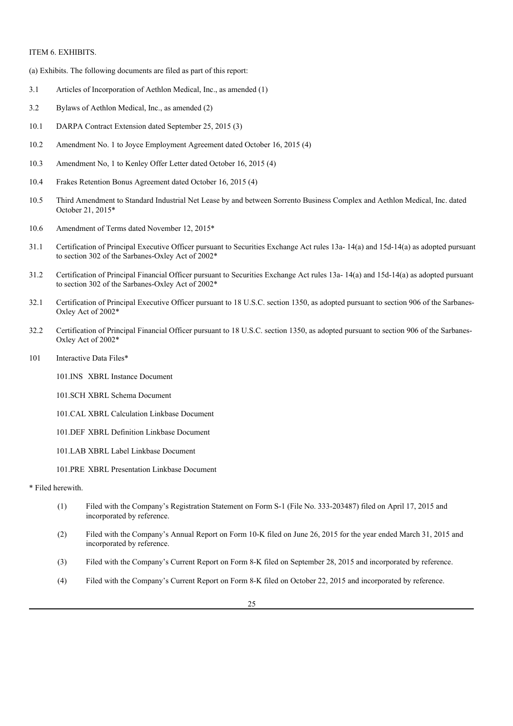### ITEM 6. EXHIBITS.

(a) Exhibits. The following documents are filed as part of this report:

- 3.1 Articles of Incorporation of Aethlon Medical, Inc., as amended (1)
- 3.2 Bylaws of Aethlon Medical, Inc., as amended (2)
- 10.1 DARPA Contract Extension dated September 25, 2015 (3)
- 10.2 Amendment No. 1 to Joyce Employment Agreement dated October 16, 2015 (4)
- 10.3 Amendment No, 1 to Kenley Offer Letter dated October 16, 2015 (4)
- 10.4 Frakes Retention Bonus Agreement dated October 16, 2015 (4)
- 10.5 Third Amendment to Standard Industrial Net Lease by and between Sorrento Business Complex and Aethlon Medical, Inc. dated October 21, 2015\*
- 10.6 Amendment of Terms dated November 12, 2015\*
- 31.1 Certification of Principal Executive Officer pursuant to Securities Exchange Act rules 13a- 14(a) and 15d-14(a) as adopted pursuant to section 302 of the Sarbanes-Oxley Act of 2002\*
- 31.2 Certification of Principal Financial Officer pursuant to Securities Exchange Act rules 13a- 14(a) and 15d-14(a) as adopted pursuant to section 302 of the Sarbanes-Oxley Act of 2002\*
- 32.1 Certification of Principal Executive Officer pursuant to 18 U.S.C. section 1350, as adopted pursuant to section 906 of the Sarbanes-Oxley Act of 2002\*
- 32.2 Certification of Principal Financial Officer pursuant to 18 U.S.C. section 1350, as adopted pursuant to section 906 of the Sarbanes-Oxley Act of 2002\*
- 101 Interactive Data Files\*
	- 101.INS XBRL Instance Document
	- 101.SCH XBRL Schema Document
	- 101.CAL XBRL Calculation Linkbase Document
	- 101.DEF XBRL Definition Linkbase Document
	- 101.LAB XBRL Label Linkbase Document
	- 101.PRE XBRL Presentation Linkbase Document
- \* Filed herewith.
	- (1) Filed with the Company's Registration Statement on Form S-1 (File No. 333-203487) filed on April 17, 2015 and incorporated by reference.
	- (2) Filed with the Company's Annual Report on Form 10-K filed on June 26, 2015 for the year ended March 31, 2015 and incorporated by reference.
	- (3) Filed with the Company's Current Report on Form 8-K filed on September 28, 2015 and incorporated by reference.
	- (4) Filed with the Company's Current Report on Form 8-K filed on October 22, 2015 and incorporated by reference.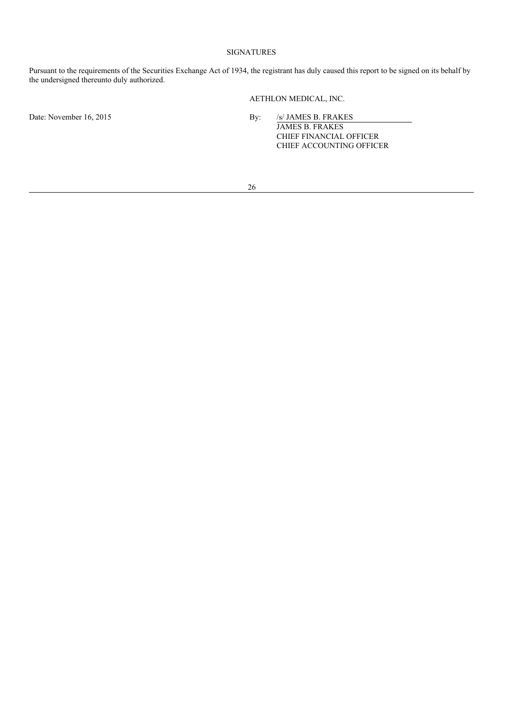# SIGNATURES

Pursuant to the requirements of the Securities Exchange Act of 1934, the registrant has duly caused this report to be signed on its behalf by the undersigned thereunto duly authorized.

AETHLON MEDICAL, INC.

Date: November 16, 2015 By: /s/ JAMES B. FRAKES

JAMES B. FRAKES CHIEF FINANCIAL OFFICER CHIEF ACCOUNTING OFFICER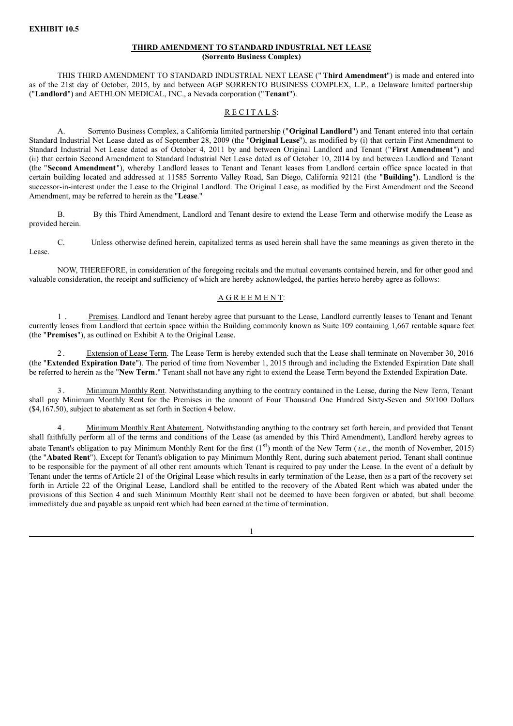### **THIRD AMENDMENT TO STANDARD INDUSTRIAL NET LEASE (Sorrento Business Complex)**

THIS THIRD AMENDMENT TO STANDARD INDUSTRIAL NEXT LEASE (" **Third Amendment**") is made and entered into as of the 21st day of October, 2015, by and between AGP SORRENTO BUSINESS COMPLEX, L.P., a Delaware limited partnership ("**Landlord**") and AETHLON MEDICAL, INC., a Nevada corporation ("**Tenant**").

# R E C I T A L S:

A. Sorrento Business Complex, a California limited partnership ("**Original Landlord**") and Tenant entered into that certain Standard Industrial Net Lease dated as of September 28, 2009 (the "**Original Lease**"), as modified by (i) that certain First Amendment to Standard Industrial Net Lease dated as of October 4, 2011 by and between Original Landlord and Tenant ("**First Amendment**") and (ii) that certain Second Amendment to Standard Industrial Net Lease dated as of October 10, 2014 by and between Landlord and Tenant (the "**Second Amendment**"), whereby Landlord leases to Tenant and Tenant leases from Landlord certain office space located in that certain building located and addressed at 11585 Sorrento Valley Road, San Diego, California 92121 (the "**Building**"). Landlord is the successor-in-interest under the Lease to the Original Landlord. The Original Lease, as modified by the First Amendment and the Second Amendment, may be referred to herein as the "**Lease**."

B. By this Third Amendment, Landlord and Tenant desire to extend the Lease Term and otherwise modify the Lease as provided herein.

C. Unless otherwise defined herein, capitalized terms as used herein shall have the same meanings as given thereto in the Lease.

NOW, THEREFORE, in consideration of the foregoing recitals and the mutual covenants contained herein, and for other good and valuable consideration, the receipt and sufficiency of which are hereby acknowledged, the parties hereto hereby agree as follows:

# A G R E E M E N T:

1 . Premises. Landlord and Tenant hereby agree that pursuant to the Lease, Landlord currently leases to Tenant and Tenant currently leases from Landlord that certain space within the Building commonly known as Suite 109 containing 1,667 rentable square feet (the "**Premises**"), as outlined on Exhibit A to the Original Lease.

2. Extension of Lease Term. The Lease Term is hereby extended such that the Lease shall terminate on November 30, 2016 (the "**Extended Expiration Date**"). The period of time from November 1, 2015 through and including the Extended Expiration Date shall be referred to herein as the "**New Term**." Tenant shall not have any right to extend the Lease Term beyond the Extended Expiration Date.

3. Minimum Monthly Rent. Notwithstanding anything to the contrary contained in the Lease, during the New Term, Tenant shall pay Minimum Monthly Rent for the Premises in the amount of Four Thousand One Hundred Sixty-Seven and 50/100 Dollars (\$4,167.50), subject to abatement as set forth in Section 4 below.

4. Minimum Monthly Rent Abatement. Notwithstanding anything to the contrary set forth herein, and provided that Tenant shall faithfully perform all of the terms and conditions of the Lease (as amended by this Third Amendment), Landlord hereby agrees to abate Tenant's obligation to pay Minimum Monthly Rent for the first  $(1<sup>st</sup>)$  month of the New Term (*i.e.*, the month of November, 2015) (the "**Abated Rent**"). Except for Tenant's obligation to pay Minimum Monthly Rent, during such abatement period, Tenant shall continue to be responsible for the payment of all other rent amounts which Tenant is required to pay under the Lease. In the event of a default by Tenant under the terms of Article 21 of the Original Lease which results in early termination of the Lease, then as a part of the recovery set forth in Article 22 of the Original Lease, Landlord shall be entitled to the recovery of the Abated Rent which was abated under the provisions of this Section 4 and such Minimum Monthly Rent shall not be deemed to have been forgiven or abated, but shall become immediately due and payable as unpaid rent which had been earned at the time of termination.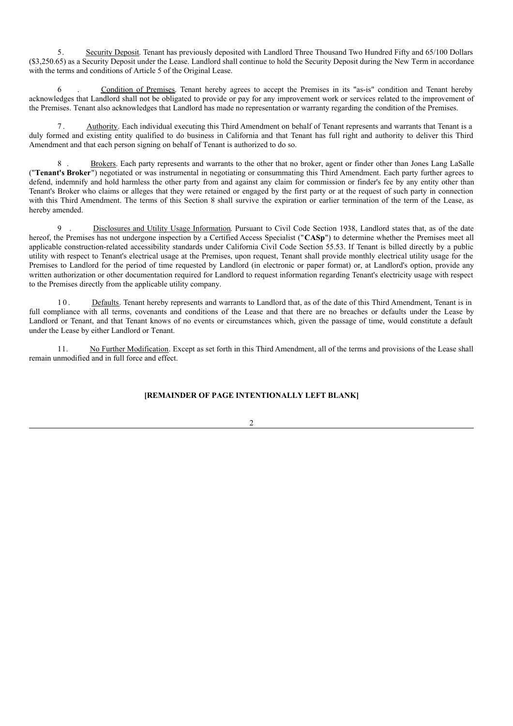5. Security Deposit. Tenant has previously deposited with Landlord Three Thousand Two Hundred Fifty and 65/100 Dollars (\$3,250.65) as a Security Deposit under the Lease. Landlord shall continue to hold the Security Deposit during the New Term in accordance with the terms and conditions of Article 5 of the Original Lease.

6 . Condition of Premises. Tenant hereby agrees to accept the Premises in its "as-is" condition and Tenant hereby acknowledges that Landlord shall not be obligated to provide or pay for any improvement work or services related to the improvement of the Premises. Tenant also acknowledges that Landlord has made no representation or warranty regarding the condition of the Premises.

7. Authority. Each individual executing this Third Amendment on behalf of Tenant represents and warrants that Tenant is a duly formed and existing entity qualified to do business in California and that Tenant has full right and authority to deliver this Third Amendment and that each person signing on behalf of Tenant is authorized to do so.

8 . Brokers. Each party represents and warrants to the other that no broker, agent or finder other than Jones Lang LaSalle ("**Tenant's Broker**") negotiated or was instrumental in negotiating or consummating this Third Amendment. Each party further agrees to defend, indemnify and hold harmless the other party from and against any claim for commission or finder's fee by any entity other than Tenant's Broker who claims or alleges that they were retained or engaged by the first party or at the request of such party in connection with this Third Amendment. The terms of this Section 8 shall survive the expiration or earlier termination of the term of the Lease, as hereby amended.

9 . Disclosures and Utility Usage Information. Pursuant to Civil Code Section 1938, Landlord states that, as of the date hereof, the Premises has not undergone inspection by a Certified Access Specialist ("**CASp**") to determine whether the Premises meet all applicable construction-related accessibility standards under California Civil Code Section 55.53. If Tenant is billed directly by a public utility with respect to Tenant's electrical usage at the Premises, upon request, Tenant shall provide monthly electrical utility usage for the Premises to Landlord for the period of time requested by Landlord (in electronic or paper format) or, at Landlord's option, provide any written authorization or other documentation required for Landlord to request information regarding Tenant's electricity usage with respect to the Premises directly from the applicable utility company.

10. Defaults. Tenant hereby represents and warrants to Landlord that, as of the date of this Third Amendment, Tenant is in full compliance with all terms, covenants and conditions of the Lease and that there are no breaches or defaults under the Lease by Landlord or Tenant, and that Tenant knows of no events or circumstances which, given the passage of time, would constitute a default under the Lease by either Landlord or Tenant.

11. No Further Modification. Except as set forth in this Third Amendment, all of the terms and provisions of the Lease shall remain unmodified and in full force and effect.

# **[REMAINDER OF PAGE INTENTIONALLY LEFT BLANK]**

 $\overline{2}$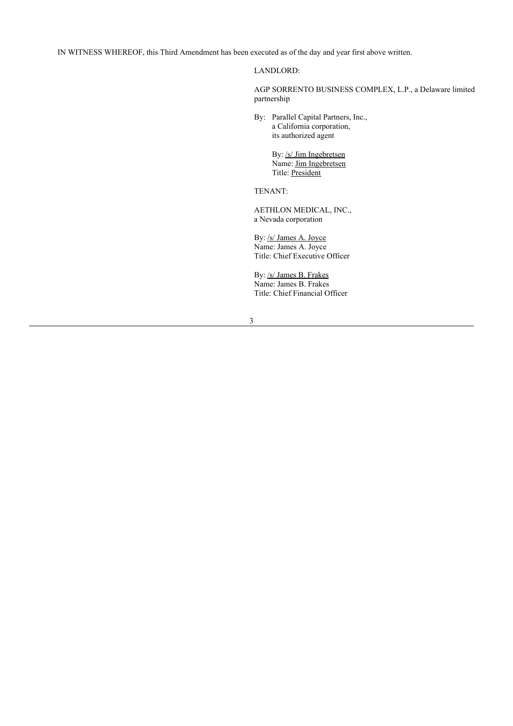IN WITNESS WHEREOF, this Third Amendment has been executed as of the day and year first above written.

LANDLORD:

AGP SORRENTO BUSINESS COMPLEX, L.P., a Delaware limited partnership

By: Parallel Capital Partners, Inc., a California corporation, its authorized agent

> By: /s/ Jim Ingebretsen Name: Jim Ingebretsen Title: President

TENANT:

AETHLON MEDICAL, INC., a Nevada corporation

By: /s/ James A. Joyce Name: James A. Joyce Title: Chief Executive Officer

By: /s/ James B. Frakes Name: James B. Frakes Title: Chief Financial Officer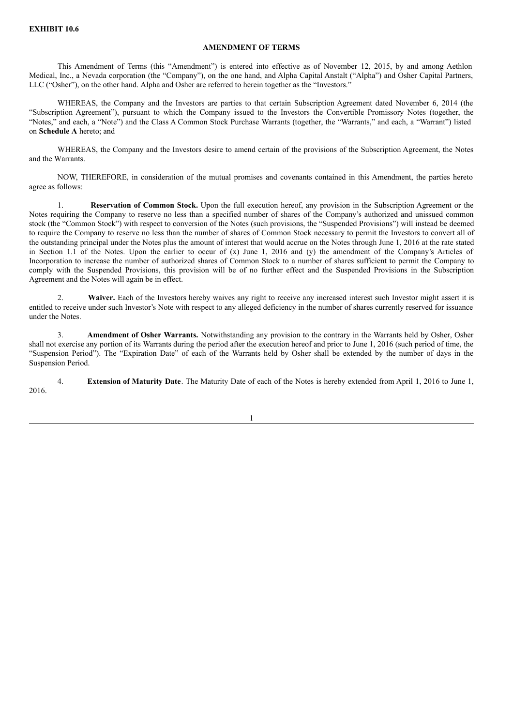### **AMENDMENT OF TERMS**

This Amendment of Terms (this "Amendment") is entered into effective as of November 12, 2015, by and among Aethlon Medical, Inc., a Nevada corporation (the "Company"), on the one hand, and Alpha Capital Anstalt ("Alpha") and Osher Capital Partners, LLC ("Osher"), on the other hand. Alpha and Osher are referred to herein together as the "Investors."

WHEREAS, the Company and the Investors are parties to that certain Subscription Agreement dated November 6, 2014 (the "Subscription Agreement"), pursuant to which the Company issued to the Investors the Convertible Promissory Notes (together, the "Notes," and each, a "Note") and the Class A Common Stock Purchase Warrants (together, the "Warrants," and each, a "Warrant") listed on **Schedule A** hereto; and

WHEREAS, the Company and the Investors desire to amend certain of the provisions of the Subscription Agreement, the Notes and the Warrants.

NOW, THEREFORE, in consideration of the mutual promises and covenants contained in this Amendment, the parties hereto agree as follows:

1. **Reservation of Common Stock.** Upon the full execution hereof, any provision in the Subscription Agreement or the Notes requiring the Company to reserve no less than a specified number of shares of the Company's authorized and unissued common stock (the "Common Stock") with respect to conversion of the Notes (such provisions, the "Suspended Provisions") will instead be deemed to require the Company to reserve no less than the number of shares of Common Stock necessary to permit the Investors to convert all of the outstanding principal under the Notes plus the amount of interest that would accrue on the Notes through June 1, 2016 at the rate stated in Section 1.1 of the Notes. Upon the earlier to occur of (x) June 1, 2016 and (y) the amendment of the Company's Articles of Incorporation to increase the number of authorized shares of Common Stock to a number of shares sufficient to permit the Company to comply with the Suspended Provisions, this provision will be of no further effect and the Suspended Provisions in the Subscription Agreement and the Notes will again be in effect.

Waiver. Each of the Investors hereby waives any right to receive any increased interest such Investor might assert it is entitled to receive under such Investor's Note with respect to any alleged deficiency in the number of shares currently reserved for issuance under the Notes.

3. **Amendment of Osher Warrants.** Notwithstanding any provision to the contrary in the Warrants held by Osher, Osher shall not exercise any portion of its Warrants during the period after the execution hereof and prior to June 1, 2016 (such period of time, the "Suspension Period"). The "Expiration Date" of each of the Warrants held by Osher shall be extended by the number of days in the Suspension Period.

4. **Extension of Maturity Date**. The Maturity Date of each of the Notes is hereby extended from April 1, 2016 to June 1, 2016.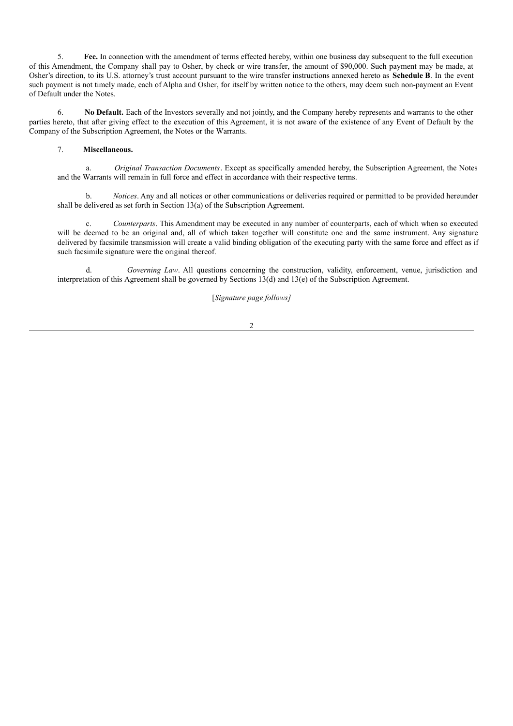5. **Fee.** In connection with the amendment of terms effected hereby, within one business day subsequent to the full execution of this Amendment, the Company shall pay to Osher, by check or wire transfer, the amount of \$90,000. Such payment may be made, at Osher's direction, to its U.S. attorney's trust account pursuant to the wire transfer instructions annexed hereto as **Schedule B**. In the event such payment is not timely made, each of Alpha and Osher, for itself by written notice to the others, may deem such non-payment an Event of Default under the Notes.

6. **No Default.** Each of the Investors severally and not jointly, and the Company hereby represents and warrants to the other parties hereto, that after giving effect to the execution of this Agreement, it is not aware of the existence of any Event of Default by the Company of the Subscription Agreement, the Notes or the Warrants.

### 7. **Miscellaneous.**

a. *Original Transaction Documents*. Except as specifically amended hereby, the Subscription Agreement, the Notes and the Warrants will remain in full force and effect in accordance with their respective terms.

b. *Notices*. Any and all notices or other communications or deliveries required or permitted to be provided hereunder shall be delivered as set forth in Section 13(a) of the Subscription Agreement.

c. *Counterparts*. This Amendment may be executed in any number of counterparts, each of which when so executed will be deemed to be an original and, all of which taken together will constitute one and the same instrument. Any signature delivered by facsimile transmission will create a valid binding obligation of the executing party with the same force and effect as if such facsimile signature were the original thereof.

d. *Governing Law*. All questions concerning the construction, validity, enforcement, venue, jurisdiction and interpretation of this Agreement shall be governed by Sections 13(d) and 13(e) of the Subscription Agreement.

[*Signature page follows]*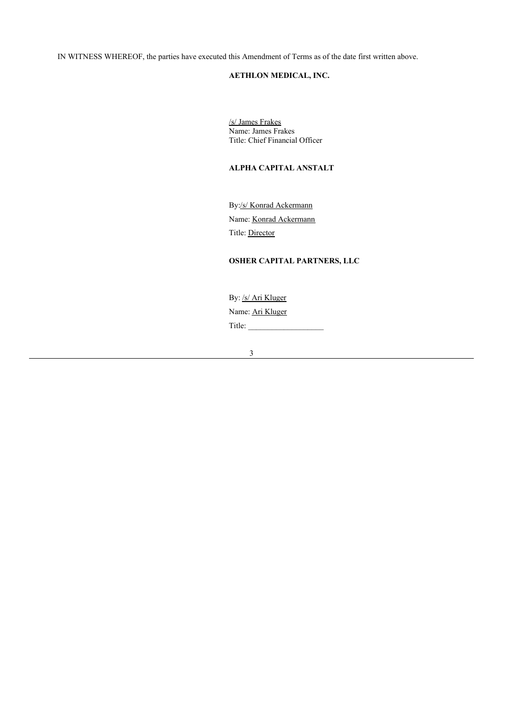IN WITNESS WHEREOF, the parties have executed this Amendment of Terms as of the date first written above.

# **AETHLON MEDICAL, INC.**

/s/ James Frakes Name: James Frakes Title: Chief Financial Officer

# **ALPHA CAPITAL ANSTALT**

By:/s/ Konrad Ackermann Name: Konrad Ackermann Title: Director

# **OSHER CAPITAL PARTNERS, LLC**

By: /s/ Ari Kluger Name: Ari Kluger

Title: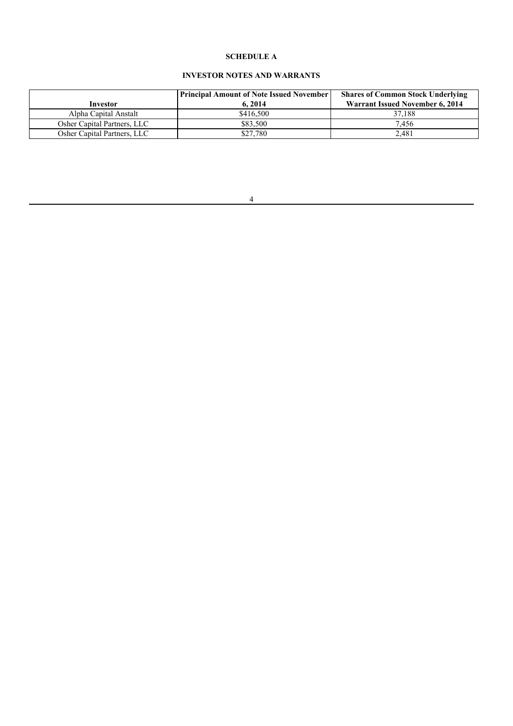# **SCHEDULE A**

# **INVESTOR NOTES AND WARRANTS**

| Investor                    | <b>Principal Amount of Note Issued November</b><br>6.2014 | <b>Shares of Common Stock Underlying</b><br>Warrant Issued November 6, 2014 |
|-----------------------------|-----------------------------------------------------------|-----------------------------------------------------------------------------|
| Alpha Capital Anstalt       | \$416,500                                                 | 37.188                                                                      |
| Osher Capital Partners, LLC | \$83,500                                                  | 7.456                                                                       |
| Osher Capital Partners, LLC | \$27,780                                                  | 2.481                                                                       |

# 4

<u> 1980 - Johann Barn, mars ann an t-Amhain Aonaich an t-Aonaich an t-Aonaich ann an t-Aonaich ann an t-Aonaich</u>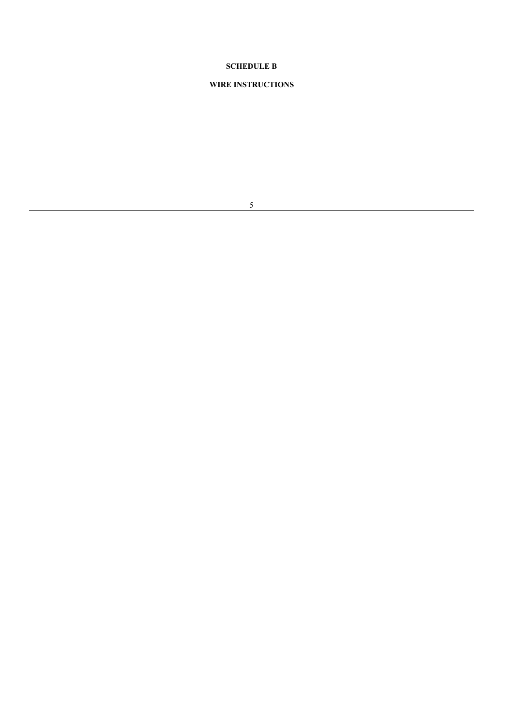# **SCHEDULE B**

# **WIRE INSTRUCTIONS**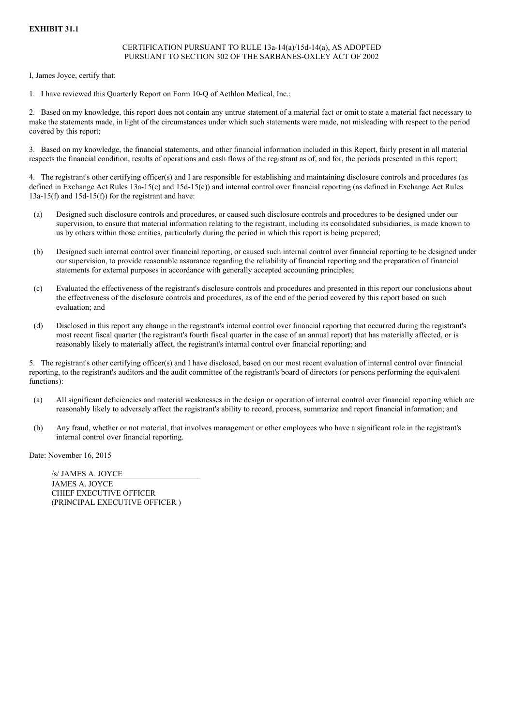# **EXHIBIT 31.1**

### CERTIFICATION PURSUANT TO RULE 13a-14(a)/15d-14(a), AS ADOPTED PURSUANT TO SECTION 302 OF THE SARBANES-OXLEY ACT OF 2002

I, James Joyce, certify that:

1. I have reviewed this Quarterly Report on Form 10-Q of Aethlon Medical, Inc.;

2. Based on my knowledge, this report does not contain any untrue statement of a material fact or omit to state a material fact necessary to make the statements made, in light of the circumstances under which such statements were made, not misleading with respect to the period covered by this report;

3. Based on my knowledge, the financial statements, and other financial information included in this Report, fairly present in all material respects the financial condition, results of operations and cash flows of the registrant as of, and for, the periods presented in this report;

4. The registrant's other certifying officer(s) and I are responsible for establishing and maintaining disclosure controls and procedures (as defined in Exchange Act Rules 13a-15(e) and 15d-15(e)) and internal control over financial reporting (as defined in Exchange Act Rules 13a-15(f) and 15d-15(f)) for the registrant and have:

- (a) Designed such disclosure controls and procedures, or caused such disclosure controls and procedures to be designed under our supervision, to ensure that material information relating to the registrant, including its consolidated subsidiaries, is made known to us by others within those entities, particularly during the period in which this report is being prepared;
- (b) Designed such internal control over financial reporting, or caused such internal control over financial reporting to be designed under our supervision, to provide reasonable assurance regarding the reliability of financial reporting and the preparation of financial statements for external purposes in accordance with generally accepted accounting principles;
- (c) Evaluated the effectiveness of the registrant's disclosure controls and procedures and presented in this report our conclusions about the effectiveness of the disclosure controls and procedures, as of the end of the period covered by this report based on such evaluation; and
- (d) Disclosed in this report any change in the registrant's internal control over financial reporting that occurred during the registrant's most recent fiscal quarter (the registrant's fourth fiscal quarter in the case of an annual report) that has materially affected, or is reasonably likely to materially affect, the registrant's internal control over financial reporting; and

5. The registrant's other certifying officer(s) and I have disclosed, based on our most recent evaluation of internal control over financial reporting, to the registrant's auditors and the audit committee of the registrant's board of directors (or persons performing the equivalent functions):

- (a) All significant deficiencies and material weaknesses in the design or operation of internal control over financial reporting which are reasonably likely to adversely affect the registrant's ability to record, process, summarize and report financial information; and
- (b) Any fraud, whether or not material, that involves management or other employees who have a significant role in the registrant's internal control over financial reporting.

Date: November 16, 2015

/s/ JAMES A. JOYCE JAMES A. JOYCE CHIEF EXECUTIVE OFFICER (PRINCIPAL EXECUTIVE OFFICER )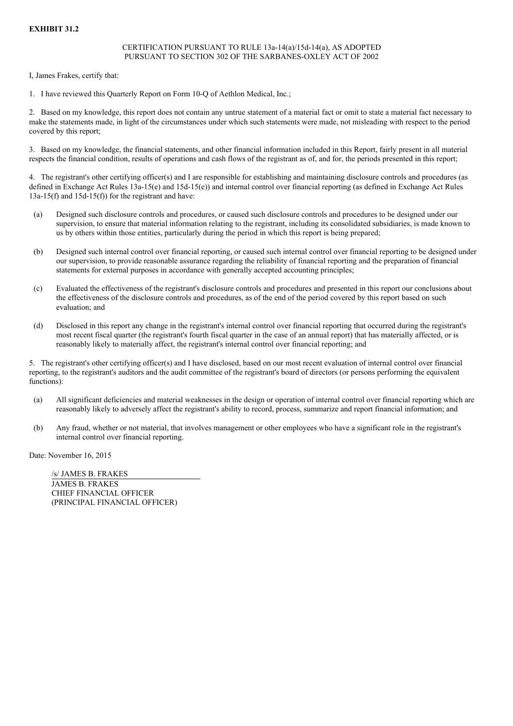# **EXHIBIT 31.2**

### CERTIFICATION PURSUANT TO RULE 13a-14(a)/15d-14(a), AS ADOPTED PURSUANT TO SECTION 302 OF THE SARBANES-OXLEY ACT OF 2002

I, James Frakes, certify that:

1. I have reviewed this Quarterly Report on Form 10-Q of Aethlon Medical, Inc.;

2. Based on my knowledge, this report does not contain any untrue statement of a material fact or omit to state a material fact necessary to make the statements made, in light of the circumstances under which such statements were made, not misleading with respect to the period covered by this report;

3. Based on my knowledge, the financial statements, and other financial information included in this Report, fairly present in all material respects the financial condition, results of operations and cash flows of the registrant as of, and for, the periods presented in this report;

4. The registrant's other certifying officer(s) and I are responsible for establishing and maintaining disclosure controls and procedures (as defined in Exchange Act Rules 13a-15(e) and 15d-15(e)) and internal control over financial reporting (as defined in Exchange Act Rules 13a-15(f) and 15d-15(f)) for the registrant and have:

- (a) Designed such disclosure controls and procedures, or caused such disclosure controls and procedures to be designed under our supervision, to ensure that material information relating to the registrant, including its consolidated subsidiaries, is made known to us by others within those entities, particularly during the period in which this report is being prepared;
- (b) Designed such internal control over financial reporting, or caused such internal control over financial reporting to be designed under our supervision, to provide reasonable assurance regarding the reliability of financial reporting and the preparation of financial statements for external purposes in accordance with generally accepted accounting principles;
- (c) Evaluated the effectiveness of the registrant's disclosure controls and procedures and presented in this report our conclusions about the effectiveness of the disclosure controls and procedures, as of the end of the period covered by this report based on such evaluation; and
- (d) Disclosed in this report any change in the registrant's internal control over financial reporting that occurred during the registrant's most recent fiscal quarter (the registrant's fourth fiscal quarter in the case of an annual report) that has materially affected, or is reasonably likely to materially affect, the registrant's internal control over financial reporting; and

5. The registrant's other certifying officer(s) and I have disclosed, based on our most recent evaluation of internal control over financial reporting, to the registrant's auditors and the audit committee of the registrant's board of directors (or persons performing the equivalent functions):

- (a) All significant deficiencies and material weaknesses in the design or operation of internal control over financial reporting which are reasonably likely to adversely affect the registrant's ability to record, process, summarize and report financial information; and
- (b) Any fraud, whether or not material, that involves management or other employees who have a significant role in the registrant's internal control over financial reporting.

Date: November 16, 2015

/s/ JAMES B. FRAKES JAMES B. FRAKES CHIEF FINANCIAL OFFICER (PRINCIPAL FINANCIAL OFFICER)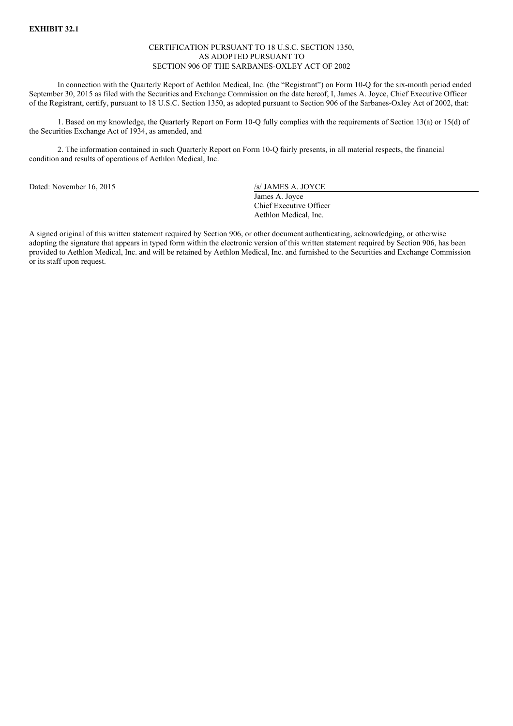#### CERTIFICATION PURSUANT TO 18 U.S.C. SECTION 1350, AS ADOPTED PURSUANT TO SECTION 906 OF THE SARBANES-OXLEY ACT OF 2002

In connection with the Quarterly Report of Aethlon Medical, Inc. (the "Registrant") on Form 10-Q for the six-month period ended September 30, 2015 as filed with the Securities and Exchange Commission on the date hereof, I, James A. Joyce, Chief Executive Officer of the Registrant, certify, pursuant to 18 U.S.C. Section 1350, as adopted pursuant to Section 906 of the Sarbanes-Oxley Act of 2002, that:

1. Based on my knowledge, the Quarterly Report on Form 10-Q fully complies with the requirements of Section 13(a) or 15(d) of the Securities Exchange Act of 1934, as amended, and

2. The information contained in such Quarterly Report on Form 10-Q fairly presents, in all material respects, the financial condition and results of operations of Aethlon Medical, Inc.

Dated: November 16, 2015 /s/ JAMES A. JOYCE

James A. Joyce Chief Executive Officer Aethlon Medical, Inc.

A signed original of this written statement required by Section 906, or other document authenticating, acknowledging, or otherwise adopting the signature that appears in typed form within the electronic version of this written statement required by Section 906, has been provided to Aethlon Medical, Inc. and will be retained by Aethlon Medical, Inc. and furnished to the Securities and Exchange Commission or its staff upon request.